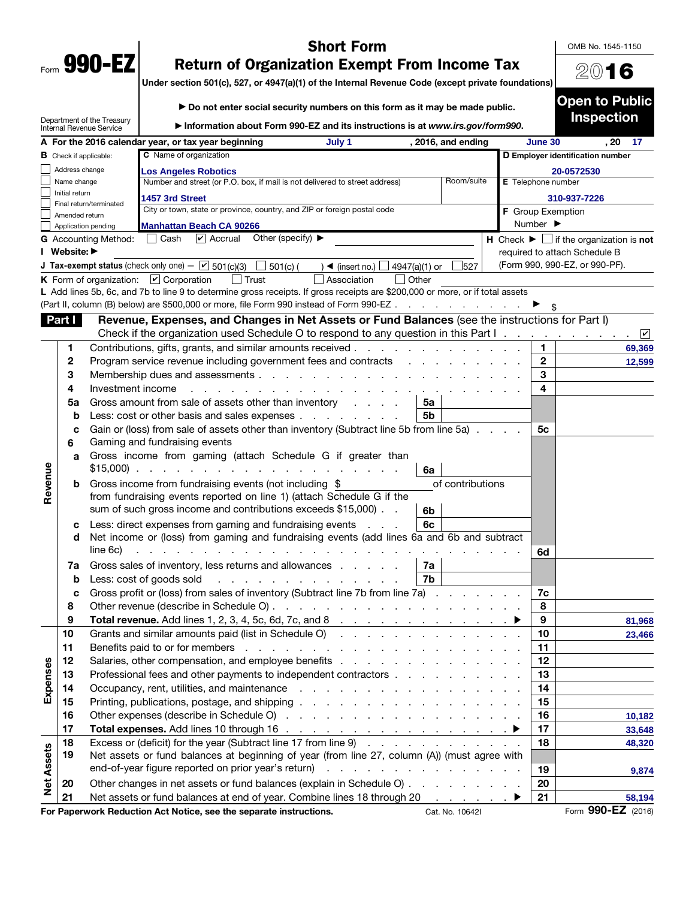| Form | <b>gr</b><br>Œ |  |
|------|----------------|--|

# **Short Form**

OMB No. 1545-1150

2016

# **Return of Organization Exempt From Income Tax**

Under section 501(c), 527, or 4947(a)(1) of the Internal Revenue Code (except private foundations)

|                   |                               |                                                        | ▶ Do not enter social security numbers on this form as it may be made public.                                                                                                                                                  |                                   |                                                        |                    |                              |              | <b>Open to Public</b>                                           |                     |
|-------------------|-------------------------------|--------------------------------------------------------|--------------------------------------------------------------------------------------------------------------------------------------------------------------------------------------------------------------------------------|-----------------------------------|--------------------------------------------------------|--------------------|------------------------------|--------------|-----------------------------------------------------------------|---------------------|
|                   |                               | Department of the Treasury<br>Internal Revenue Service | Information about Form 990-EZ and its instructions is at www.irs.gov/form990.                                                                                                                                                  |                                   |                                                        |                    |                              |              | <b>Inspection</b>                                               |                     |
|                   |                               |                                                        | A For the 2016 calendar year, or tax year beginning                                                                                                                                                                            | July 1                            |                                                        | , 2016, and ending |                              | June 30      | . 20                                                            | 17                  |
|                   | <b>B</b> Check if applicable: |                                                        | C Name of organization                                                                                                                                                                                                         |                                   |                                                        |                    |                              |              | D Employer identification number                                |                     |
|                   | Address change                |                                                        | <b>Los Angeles Robotics</b>                                                                                                                                                                                                    |                                   |                                                        |                    |                              |              | 20-0572530                                                      |                     |
|                   | Name change<br>Initial return |                                                        | Number and street (or P.O. box, if mail is not delivered to street address)                                                                                                                                                    |                                   |                                                        | Room/suite         | E Telephone number           |              |                                                                 |                     |
|                   |                               | Final return/terminated                                | 1457 3rd Street                                                                                                                                                                                                                |                                   |                                                        |                    |                              |              | 310-937-7226                                                    |                     |
|                   | Amended return                |                                                        | City or town, state or province, country, and ZIP or foreign postal code                                                                                                                                                       |                                   |                                                        |                    | <b>F</b> Group Exemption     |              |                                                                 |                     |
|                   |                               | Application pending                                    | <b>Manhattan Beach CA 90266</b>                                                                                                                                                                                                |                                   |                                                        |                    | Number $\blacktriangleright$ |              |                                                                 |                     |
|                   |                               | <b>G</b> Accounting Method:                            | Other (specify) $\blacktriangleright$<br>$ v $ Accrual<br>Cash                                                                                                                                                                 |                                   |                                                        |                    |                              |              | H Check $\blacktriangleright$ $\Box$ if the organization is not |                     |
|                   | I Website: ▶                  |                                                        |                                                                                                                                                                                                                                |                                   |                                                        |                    |                              |              | required to attach Schedule B                                   |                     |
|                   |                               |                                                        | <b>J Tax-exempt status</b> (check only one) - $\boxed{\triangleright}$ 501(c)(3) $\boxed{\square}$ 501(c)(                                                                                                                     |                                   | $\blacktriangleleft$ (insert no.) $\Box$ 4947(a)(1) or | 527                |                              |              | (Form 990, 990-EZ, or 990-PF).                                  |                     |
|                   |                               |                                                        | <b>K</b> Form of organization: $\boxed{\mathbf{v}}$ Corporation<br>$\vert$ Trust                                                                                                                                               | Association                       | Other                                                  |                    |                              |              |                                                                 |                     |
|                   |                               |                                                        | L Add lines 5b, 6c, and 7b to line 9 to determine gross receipts. If gross receipts are \$200,000 or more, or if total assets<br>(Part II, column (B) below) are \$500,000 or more, file Form 990 instead of Form 990-EZ       |                                   |                                                        |                    |                              |              |                                                                 |                     |
|                   |                               |                                                        |                                                                                                                                                                                                                                |                                   |                                                        |                    |                              |              |                                                                 |                     |
|                   | Part I                        |                                                        | Revenue, Expenses, and Changes in Net Assets or Fund Balances (see the instructions for Part I)                                                                                                                                |                                   |                                                        |                    |                              |              |                                                                 |                     |
|                   |                               |                                                        | Check if the organization used Schedule O to respond to any question in this Part I.                                                                                                                                           |                                   |                                                        |                    |                              | 1.           |                                                                 | $\lfloor r \rfloor$ |
|                   | 1<br>2                        |                                                        | Contributions, gifts, grants, and similar amounts received.<br>Program service revenue including government fees and contracts                                                                                                 |                                   | and the state of the                                   |                    |                              | $\mathbf{2}$ |                                                                 | 69,369              |
|                   | 3                             |                                                        | Membership dues and assessments                                                                                                                                                                                                |                                   | and the company of                                     |                    |                              | 3            |                                                                 | 12,599              |
|                   | 4                             | Investment income                                      |                                                                                                                                                                                                                                | and the company of the company of |                                                        |                    |                              | 4            |                                                                 |                     |
|                   | 5a                            |                                                        | Gross amount from sale of assets other than inventory                                                                                                                                                                          | and a state of                    | 5a                                                     |                    |                              |              |                                                                 |                     |
|                   | b                             |                                                        | Less: cost or other basis and sales expenses                                                                                                                                                                                   |                                   | 5b                                                     |                    |                              |              |                                                                 |                     |
|                   | с                             |                                                        | Gain or (loss) from sale of assets other than inventory (Subtract line 5b from line 5a)                                                                                                                                        |                                   |                                                        |                    |                              | 5с           |                                                                 |                     |
|                   | 6                             |                                                        | Gaming and fundraising events                                                                                                                                                                                                  |                                   |                                                        |                    |                              |              |                                                                 |                     |
|                   | a                             |                                                        | Gross income from gaming (attach Schedule G if greater than<br>$$15,000$                                                                                                                                                       |                                   | 6a                                                     |                    |                              |              |                                                                 |                     |
| Revenue           | b                             |                                                        | Gross income from fundraising events (not including \$                                                                                                                                                                         |                                   |                                                        | of contributions   |                              |              |                                                                 |                     |
|                   |                               |                                                        | from fundraising events reported on line 1) (attach Schedule G if the                                                                                                                                                          |                                   |                                                        |                    |                              |              |                                                                 |                     |
|                   |                               |                                                        | sum of such gross income and contributions exceeds \$15,000).                                                                                                                                                                  |                                   | 6b                                                     |                    |                              |              |                                                                 |                     |
|                   | c                             |                                                        | Less: direct expenses from gaming and fundraising events                                                                                                                                                                       |                                   | 6с                                                     |                    |                              |              |                                                                 |                     |
|                   | d                             |                                                        | Net income or (loss) from gaming and fundraising events (add lines 6a and 6b and subtract                                                                                                                                      |                                   |                                                        |                    |                              |              |                                                                 |                     |
|                   |                               | line 6c)                                               |                                                                                                                                                                                                                                |                                   |                                                        |                    |                              | 6d           |                                                                 |                     |
|                   | 7a                            |                                                        | Gross sales of inventory, less returns and allowances                                                                                                                                                                          |                                   | 7a                                                     |                    |                              |              |                                                                 |                     |
|                   | b                             |                                                        | Less: cost of goods sold                                                                                                                                                                                                       |                                   | 7b                                                     |                    |                              |              |                                                                 |                     |
|                   | с                             |                                                        | Gross profit or (loss) from sales of inventory (Subtract line 7b from line 7a)                                                                                                                                                 |                                   |                                                        |                    |                              | 7c           |                                                                 |                     |
|                   | 8                             |                                                        |                                                                                                                                                                                                                                |                                   |                                                        |                    |                              | 8            |                                                                 |                     |
|                   | 9                             |                                                        |                                                                                                                                                                                                                                |                                   |                                                        |                    |                              | 9            |                                                                 | 81,968              |
|                   | 10                            |                                                        |                                                                                                                                                                                                                                |                                   |                                                        |                    |                              | 10           |                                                                 | 23,466              |
|                   | 11<br>12                      |                                                        | Benefits paid to or for members enters and the contract of the contract of the contract of the contract of the contract of the contract of the contract of the contract of the contract of the contract of the contract of the |                                   |                                                        |                    |                              | 11<br>12     |                                                                 |                     |
| Expenses          | 13                            |                                                        | Professional fees and other payments to independent contractors                                                                                                                                                                |                                   |                                                        |                    |                              | 13           |                                                                 |                     |
|                   | 14                            |                                                        |                                                                                                                                                                                                                                |                                   |                                                        |                    |                              | 14           |                                                                 |                     |
|                   | 15                            |                                                        |                                                                                                                                                                                                                                |                                   |                                                        |                    |                              | 15           |                                                                 |                     |
|                   | 16                            |                                                        |                                                                                                                                                                                                                                |                                   |                                                        |                    |                              | 16           |                                                                 | 10,182              |
|                   | 17                            |                                                        |                                                                                                                                                                                                                                |                                   |                                                        |                    |                              | 17           |                                                                 | 33,648              |
|                   | 18                            |                                                        | Excess or (deficit) for the year (Subtract line 17 from line 9)                                                                                                                                                                |                                   |                                                        |                    |                              | 18           |                                                                 | 48,320              |
|                   | 19                            |                                                        | Net assets or fund balances at beginning of year (from line 27, column (A)) (must agree with                                                                                                                                   |                                   |                                                        |                    |                              |              |                                                                 |                     |
|                   |                               |                                                        | end-of-year figure reported on prior year's return)                                                                                                                                                                            |                                   | the second contract of the second contract of          |                    |                              | 19           |                                                                 | 9,874               |
| <b>Net Assets</b> | 20                            |                                                        | Other changes in net assets or fund balances (explain in Schedule O)                                                                                                                                                           |                                   |                                                        |                    |                              | 20           |                                                                 |                     |
|                   | 21                            |                                                        | Net assets or fund balances at end of year. Combine lines 18 through 20 ▶                                                                                                                                                      |                                   |                                                        |                    |                              | 21           |                                                                 | 58,194              |
|                   |                               |                                                        |                                                                                                                                                                                                                                |                                   |                                                        |                    |                              |              | --                                                              |                     |

For Paperwork Reduction Act Notice, see the separate instructions.

Cat. No. 106421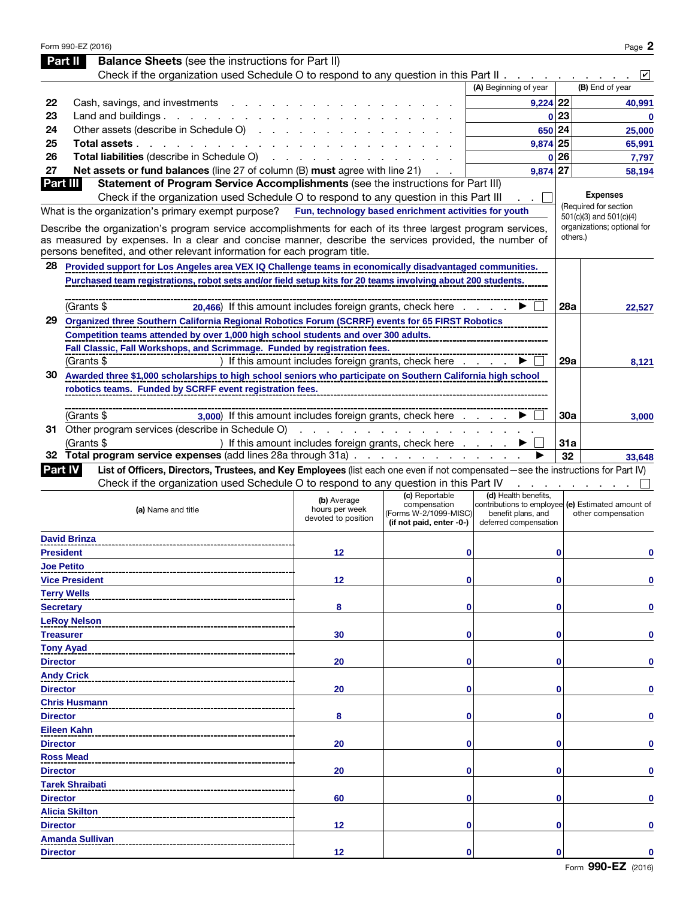|                  | Form 990-EZ (2016)                                                                                                                                                                                                                           |                                       |                                                                   |                                                                                                  |          | Page 2                                               |
|------------------|----------------------------------------------------------------------------------------------------------------------------------------------------------------------------------------------------------------------------------------------|---------------------------------------|-------------------------------------------------------------------|--------------------------------------------------------------------------------------------------|----------|------------------------------------------------------|
|                  | <b>Balance Sheets</b> (see the instructions for Part II)<br><b>Part II</b>                                                                                                                                                                   |                                       |                                                                   |                                                                                                  |          |                                                      |
|                  | Check if the organization used Schedule O to respond to any question in this Part II                                                                                                                                                         |                                       |                                                                   |                                                                                                  |          | $ \boldsymbol{v} $                                   |
|                  |                                                                                                                                                                                                                                              |                                       |                                                                   | (A) Beginning of year                                                                            |          | (B) End of year                                      |
| 22               | Cash, savings, and investments                                                                                                                                                                                                               |                                       |                                                                   | 9,224 22                                                                                         |          | 40,991                                               |
| 23               | Land and buildings $\ldots$ $\ldots$ $\ldots$ $\ldots$                                                                                                                                                                                       |                                       |                                                                   | $\bf{0}$                                                                                         | 23       | 0                                                    |
| 24               | Other assets (describe in Schedule O)                                                                                                                                                                                                        |                                       |                                                                   | 650 24                                                                                           |          | 25,000                                               |
| 25               | Total assets                                                                                                                                                                                                                                 |                                       |                                                                   | 9.874 25                                                                                         |          | 65,991                                               |
| 26               | Total liabilities (describe in Schedule O)                                                                                                                                                                                                   |                                       |                                                                   | $\bf{0}$                                                                                         | 26       | 7,797                                                |
| 27               | Net assets or fund balances (line 27 of column (B) must agree with line 21)                                                                                                                                                                  |                                       |                                                                   | 9,874 27                                                                                         |          | 58,194                                               |
| Part III         | Statement of Program Service Accomplishments (see the instructions for Part III)                                                                                                                                                             |                                       |                                                                   |                                                                                                  |          |                                                      |
|                  | Check if the organization used Schedule O to respond to any question in this Part III                                                                                                                                                        |                                       |                                                                   |                                                                                                  |          | <b>Expenses</b>                                      |
|                  | What is the organization's primary exempt purpose? Fun, technology based enrichment activities for youth                                                                                                                                     |                                       |                                                                   |                                                                                                  |          | (Required for section<br>$501(c)(3)$ and $501(c)(4)$ |
|                  | Describe the organization's program service accomplishments for each of its three largest program services,<br>as measured by expenses. In a clear and concise manner, describe the services provided, the number of                         |                                       |                                                                   |                                                                                                  |          | organizations; optional for<br>others.)              |
|                  | persons benefited, and other relevant information for each program title.                                                                                                                                                                    |                                       |                                                                   |                                                                                                  |          |                                                      |
| 28               | Provided support for Los Angeles area VEX IQ Challenge teams in economically disadvantaged communities.                                                                                                                                      |                                       |                                                                   |                                                                                                  |          |                                                      |
|                  | Purchased team registrations, robot sets and/or field setup kits for 20 teams involving about 200 students.                                                                                                                                  |                                       |                                                                   |                                                                                                  |          |                                                      |
|                  |                                                                                                                                                                                                                                              |                                       |                                                                   |                                                                                                  |          |                                                      |
|                  | (Grants \$<br>20,466) If this amount includes foreign grants, check here                                                                                                                                                                     |                                       |                                                                   |                                                                                                  | 28a      | 22.527                                               |
|                  | 29 Organized three Southern California Regional Robotics Forum (SCRRF) events for 65 FIRST Robotics                                                                                                                                          |                                       |                                                                   |                                                                                                  |          |                                                      |
|                  | Competition teams attended by over 1,000 high school students and over 300 adults.                                                                                                                                                           |                                       |                                                                   |                                                                                                  |          |                                                      |
|                  | Fall Classic, Fall Workshops, and Scrimmage. Funded by registration fees.                                                                                                                                                                    |                                       |                                                                   |                                                                                                  |          |                                                      |
|                  | (Grants \$                                                                                                                                                                                                                                   |                                       | If this amount includes foreign grants, check here                |                                                                                                  | 29a      | 8.121                                                |
| 30               | Awarded three \$1,000 scholarships to high school seniors who participate on Southern California high school                                                                                                                                 |                                       |                                                                   |                                                                                                  |          |                                                      |
|                  | robotics teams. Funded by SCRFF event registration fees.                                                                                                                                                                                     |                                       |                                                                   |                                                                                                  |          |                                                      |
|                  |                                                                                                                                                                                                                                              |                                       |                                                                   |                                                                                                  |          |                                                      |
|                  | (Grants \$<br>3,000) If this amount includes foreign grants, check here                                                                                                                                                                      |                                       |                                                                   |                                                                                                  | 30a      | 3.000                                                |
|                  | 31 Other program services (describe in Schedule O)                                                                                                                                                                                           |                                       | the contract of the contract of the con-                          |                                                                                                  |          |                                                      |
|                  | (Grants \$                                                                                                                                                                                                                                   |                                       | ) If this amount includes foreign grants, check here              |                                                                                                  | 31a      |                                                      |
|                  | 32 Total program service expenses (add lines 28a through 31a)                                                                                                                                                                                |                                       |                                                                   |                                                                                                  | 32       | 33,648                                               |
|                  | List of Officers, Directors, Trustees, and Key Employees (list each one even if not compensated -see the instructions for Part IV)<br><b>Part IV</b><br>Check if the organization used Schedule O to respond to any question in this Part IV |                                       |                                                                   |                                                                                                  |          |                                                      |
|                  |                                                                                                                                                                                                                                              | (b) Average                           | (c) Reportable                                                    | (d) Health benefits,                                                                             |          |                                                      |
|                  | (a) Name and title                                                                                                                                                                                                                           | hours per week<br>devoted to position | compensation<br>(Forms W-2/1099-MISC)<br>(if not paid, enter -0-) | contributions to employee (e) Estimated amount of<br>benefit plans, and<br>deferred compensation |          | other compensation                                   |
|                  |                                                                                                                                                                                                                                              |                                       |                                                                   |                                                                                                  |          |                                                      |
|                  | <b>David Brinza</b>                                                                                                                                                                                                                          |                                       |                                                                   |                                                                                                  |          |                                                      |
|                  | <b>President</b>                                                                                                                                                                                                                             | 12                                    | 0                                                                 |                                                                                                  | 0        | 0                                                    |
|                  | <b>Joe Petito</b>                                                                                                                                                                                                                            |                                       |                                                                   |                                                                                                  |          |                                                      |
|                  | <b>Vice President</b>                                                                                                                                                                                                                        | 12                                    | $\bf{0}$                                                          |                                                                                                  | $\bf{0}$ | 0                                                    |
|                  | <b>Terry Wells</b>                                                                                                                                                                                                                           |                                       |                                                                   |                                                                                                  |          |                                                      |
| <b>Secretary</b> |                                                                                                                                                                                                                                              | 8                                     | $\bf{0}$                                                          |                                                                                                  | $\bf{0}$ | 0                                                    |
|                  | <b>LeRoy Nelson</b>                                                                                                                                                                                                                          |                                       |                                                                   |                                                                                                  |          |                                                      |
|                  | <b>Treasurer</b>                                                                                                                                                                                                                             | 30                                    | $\bf{0}$                                                          |                                                                                                  | $\bf{0}$ | 0                                                    |
|                  | <b>Tony Ayad</b>                                                                                                                                                                                                                             |                                       |                                                                   |                                                                                                  |          |                                                      |
| <b>Director</b>  |                                                                                                                                                                                                                                              | 20                                    | $\bf{0}$                                                          |                                                                                                  | $\bf{0}$ | 0                                                    |
|                  | <b>Andy Crick</b>                                                                                                                                                                                                                            |                                       |                                                                   |                                                                                                  |          |                                                      |
| <b>Director</b>  |                                                                                                                                                                                                                                              | 20                                    | $\bf{0}$                                                          |                                                                                                  | $\bf{0}$ | 0                                                    |
|                  | <b>Chris Husmann</b>                                                                                                                                                                                                                         |                                       |                                                                   |                                                                                                  |          |                                                      |
| <b>Director</b>  |                                                                                                                                                                                                                                              | 8                                     | $\bf{0}$                                                          |                                                                                                  | $\bf{0}$ | 0                                                    |
|                  | <b>Eileen Kahn</b>                                                                                                                                                                                                                           |                                       |                                                                   |                                                                                                  |          |                                                      |
| <b>Director</b>  |                                                                                                                                                                                                                                              | 20                                    | $\bf{0}$                                                          |                                                                                                  | $\bf{0}$ | 0                                                    |
|                  | <b>Ross Mead</b>                                                                                                                                                                                                                             |                                       |                                                                   |                                                                                                  |          |                                                      |
| <b>Director</b>  |                                                                                                                                                                                                                                              | 20                                    | $\bf{0}$                                                          |                                                                                                  | $\bf{0}$ | 0                                                    |
|                  | <b>Tarek Shraibati</b>                                                                                                                                                                                                                       |                                       |                                                                   |                                                                                                  |          |                                                      |
| <b>Director</b>  |                                                                                                                                                                                                                                              | 60                                    | $\bf{0}$                                                          |                                                                                                  | $\bf{0}$ | 0                                                    |
|                  | <b>Alicia Skilton</b>                                                                                                                                                                                                                        |                                       |                                                                   |                                                                                                  |          |                                                      |
| <b>Director</b>  |                                                                                                                                                                                                                                              | 12                                    | $\bf{0}$                                                          |                                                                                                  | $\bf{0}$ | 0                                                    |
|                  | <b>Amanda Sullivan</b>                                                                                                                                                                                                                       |                                       |                                                                   |                                                                                                  |          |                                                      |
| <b>Director</b>  |                                                                                                                                                                                                                                              | 12                                    | 0                                                                 |                                                                                                  | $\bf{0}$ | 0                                                    |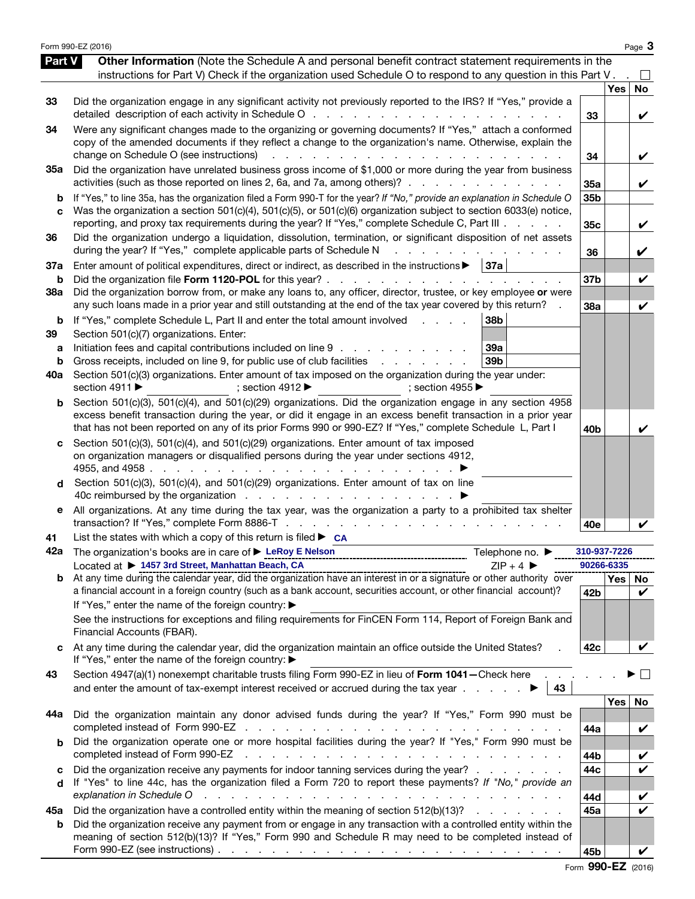|        | Form 990-EZ (2016)                                                                                                                                                                                                                                                                                                       |                 |                  | Page $3$  |
|--------|--------------------------------------------------------------------------------------------------------------------------------------------------------------------------------------------------------------------------------------------------------------------------------------------------------------------------|-----------------|------------------|-----------|
| Part V | Other Information (Note the Schedule A and personal benefit contract statement requirements in the                                                                                                                                                                                                                       |                 |                  |           |
|        | instructions for Part V) Check if the organization used Schedule O to respond to any question in this Part V.                                                                                                                                                                                                            |                 |                  |           |
|        |                                                                                                                                                                                                                                                                                                                          |                 | Yes              | <b>No</b> |
| 33     | Did the organization engage in any significant activity not previously reported to the IRS? If "Yes," provide a                                                                                                                                                                                                          | 33              |                  | V         |
| 34     | Were any significant changes made to the organizing or governing documents? If "Yes," attach a conformed                                                                                                                                                                                                                 |                 |                  |           |
|        | copy of the amended documents if they reflect a change to the organization's name. Otherwise, explain the                                                                                                                                                                                                                |                 |                  |           |
|        | change on Schedule O (see instructions)<br>والمتواط والمتواط والمتواط والمتواط والمتواط والمتواط والمتواط والمتواطئ                                                                                                                                                                                                      | 34              |                  | V         |
| 35a    | Did the organization have unrelated business gross income of \$1,000 or more during the year from business                                                                                                                                                                                                               |                 |                  |           |
|        | activities (such as those reported on lines 2, 6a, and 7a, among others)?                                                                                                                                                                                                                                                | 35a             |                  | V         |
| b      | If "Yes," to line 35a, has the organization filed a Form 990-T for the year? If "No," provide an explanation in Schedule O                                                                                                                                                                                               | 35b             |                  |           |
| c      | Was the organization a section 501(c)(4), 501(c)(5), or 501(c)(6) organization subject to section 6033(e) notice,                                                                                                                                                                                                        |                 |                  |           |
|        | reporting, and proxy tax requirements during the year? If "Yes," complete Schedule C, Part III                                                                                                                                                                                                                           | 35c             |                  | V         |
| 36     | Did the organization undergo a liquidation, dissolution, termination, or significant disposition of net assets                                                                                                                                                                                                           |                 |                  |           |
|        | during the year? If "Yes," complete applicable parts of Schedule N<br>the contract of the contract of the                                                                                                                                                                                                                | 36              |                  | V         |
| 37a    | Enter amount of political expenditures, direct or indirect, as described in the instructions $\blacktriangleright$ 37a                                                                                                                                                                                                   |                 |                  |           |
| b      | Did the organization file Form 1120-POL for this year? .<br>and the company of the company of the company of the company of the company of the company of the company of the company of the company of the company of the company of the company of the company of the company of the comp                               | 37b             |                  | V         |
| 38a    | Did the organization borrow from, or make any loans to, any officer, director, trustee, or key employee or were                                                                                                                                                                                                          |                 |                  |           |
|        | any such loans made in a prior year and still outstanding at the end of the tax year covered by this return?                                                                                                                                                                                                             | 38a             |                  | V         |
| b      | If "Yes," complete Schedule L, Part II and enter the total amount involved<br>38b<br>and the control of the con-                                                                                                                                                                                                         |                 |                  |           |
| 39     | Section 501(c)(7) organizations. Enter:                                                                                                                                                                                                                                                                                  |                 |                  |           |
| а      | Initiation fees and capital contributions included on line 9<br>39a                                                                                                                                                                                                                                                      |                 |                  |           |
| b      | Gross receipts, included on line 9, for public use of club facilities<br>39 <sub>b</sub><br>the company of the company of                                                                                                                                                                                                |                 |                  |           |
| 40a    | Section 501(c)(3) organizations. Enter amount of tax imposed on the organization during the year under:                                                                                                                                                                                                                  |                 |                  |           |
|        | section 4911 ▶<br>; section $4912 \blacktriangleright$<br>; section 4955 $\blacktriangleright$                                                                                                                                                                                                                           |                 |                  |           |
| b      | Section 501(c)(3), 501(c)(4), and 501(c)(29) organizations. Did the organization engage in any section 4958                                                                                                                                                                                                              |                 |                  |           |
|        | excess benefit transaction during the year, or did it engage in an excess benefit transaction in a prior year                                                                                                                                                                                                            |                 |                  |           |
|        | that has not been reported on any of its prior Forms 990 or 990-EZ? If "Yes," complete Schedule L, Part I                                                                                                                                                                                                                | 40b             |                  |           |
| c      | Section 501(c)(3), 501(c)(4), and 501(c)(29) organizations. Enter amount of tax imposed                                                                                                                                                                                                                                  |                 |                  |           |
|        | on organization managers or disqualified persons during the year under sections 4912,                                                                                                                                                                                                                                    |                 |                  |           |
|        |                                                                                                                                                                                                                                                                                                                          |                 |                  |           |
| d      | Section 501(c)(3), 501(c)(4), and 501(c)(29) organizations. Enter amount of tax on line<br>40c reimbursed by the organization enterstanding to the contract of the original state of the contract of the contract of the contract of the contract of the contract of the contract of the contract of the contract of the |                 |                  |           |
|        |                                                                                                                                                                                                                                                                                                                          |                 |                  |           |
| е      | All organizations. At any time during the tax year, was the organization a party to a prohibited tax shelter                                                                                                                                                                                                             | 40e             |                  |           |
| 41     | List the states with which a copy of this return is filed $\triangleright$ CA                                                                                                                                                                                                                                            |                 |                  |           |
| 42a    | Telephone no. ▶                                                                                                                                                                                                                                                                                                          | 310-937-7226    |                  |           |
|        | Located at ▶ 1457 3rd Street, Manhattan Beach, CA<br>$ZIP + 4$                                                                                                                                                                                                                                                           | 90266-6335      |                  |           |
| b      |                                                                                                                                                                                                                                                                                                                          |                 | Yes <sub>1</sub> | No.       |
|        | a financial account in a foreign country (such as a bank account, securities account, or other financial account)?                                                                                                                                                                                                       | 42 <sub>b</sub> |                  | V         |
|        | If "Yes," enter the name of the foreign country: ▶                                                                                                                                                                                                                                                                       |                 |                  |           |
|        | See the instructions for exceptions and filing requirements for FinCEN Form 114, Report of Foreign Bank and                                                                                                                                                                                                              |                 |                  |           |
|        | Financial Accounts (FBAR).                                                                                                                                                                                                                                                                                               |                 |                  |           |
|        | At any time during the calendar year, did the organization maintain an office outside the United States?<br>If "Yes," enter the name of the foreign country: ▶                                                                                                                                                           | 42c             |                  | V         |
| 43     | Section 4947(a)(1) nonexempt charitable trusts filing Form 990-EZ in lieu of Form 1041 - Check here                                                                                                                                                                                                                      |                 |                  |           |
|        | 43                                                                                                                                                                                                                                                                                                                       |                 |                  |           |
|        |                                                                                                                                                                                                                                                                                                                          |                 | <b>Yes</b>       | <b>No</b> |
| 44a    | Did the organization maintain any donor advised funds during the year? If "Yes," Form 990 must be                                                                                                                                                                                                                        | 44a             |                  | V         |
| b      | Did the organization operate one or more hospital facilities during the year? If "Yes," Form 990 must be                                                                                                                                                                                                                 |                 |                  |           |
|        |                                                                                                                                                                                                                                                                                                                          | 44b             |                  | V         |
| с      | Did the organization receive any payments for indoor tanning services during the year?                                                                                                                                                                                                                                   | 44c             |                  | ✓         |
| d      | If "Yes" to line 44c, has the organization filed a Form 720 to report these payments? If "No," provide an                                                                                                                                                                                                                |                 |                  |           |
|        | explanation in Schedule O<br>and a construction of the construction of the construction of the construction of the construction of the construction of the construction of the construction of the construction of the construction of the construction of                                                               | 44d             |                  | V         |
| 45а    | Did the organization have a controlled entity within the meaning of section 512(b)(13)?                                                                                                                                                                                                                                  | 45а             |                  | ✓         |
| b      | Did the organization receive any payment from or engage in any transaction with a controlled entity within the                                                                                                                                                                                                           |                 |                  |           |
|        | meaning of section 512(b)(13)? If "Yes," Form 990 and Schedule R may need to be completed instead of                                                                                                                                                                                                                     |                 |                  |           |
|        | Form 990-EZ (see instructions) $\ldots$ $\ldots$ $\ldots$ $\ldots$ $\ldots$ $\ldots$ $\ldots$ $\ldots$ $\ldots$ $\ldots$ $\ldots$                                                                                                                                                                                        | 45b             |                  | V         |

|  | Form $990-EZ$ (2016) |  |
|--|----------------------|--|
|--|----------------------|--|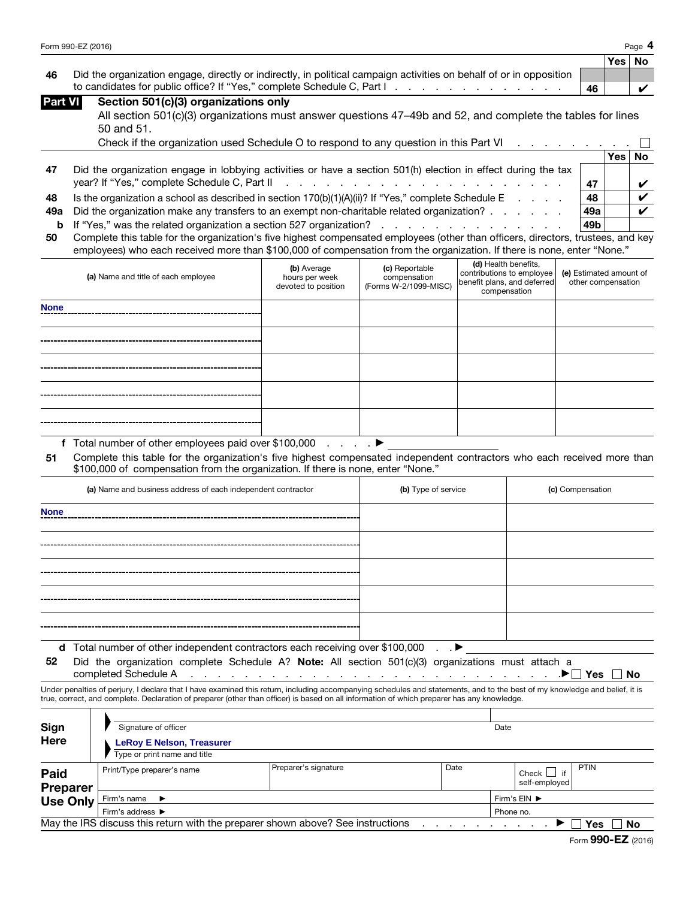|  | Form 990-EZ (2016) |  |
|--|--------------------|--|
|--|--------------------|--|

|      |                                                                                                                     |     | Yes   No |                    |
|------|---------------------------------------------------------------------------------------------------------------------|-----|----------|--------------------|
| - 46 | Did the organization engage, directly or indirectly, in political campaign activities on behalf of or in opposition |     |          |                    |
|      |                                                                                                                     | -46 |          | $\boldsymbol{\nu}$ |

**Part VI** Section 501(c)(3) organizations only

| All section 501(c)(3) organizations must answer questions 47-49b and 52, and complete the tables for lines |  |  |  |
|------------------------------------------------------------------------------------------------------------|--|--|--|
| 50 and 51.                                                                                                 |  |  |  |

|     | Check if the organization used Schedule O to respond to any question in this Part VI                          |                 |       |    |
|-----|---------------------------------------------------------------------------------------------------------------|-----------------|-------|----|
|     |                                                                                                               |                 | Yes l | No |
| 47  | Did the organization engage in lobbying activities or have a section 501(h) election in effect during the tax |                 |       |    |
|     |                                                                                                               | 47              |       |    |
| 48  | Is the organization a school as described in section $170(b)(1)(A)(ii)$ ? If "Yes," complete Schedule E       | 48              |       |    |
| 49а | Did the organization make any transfers to an exempt non-charitable related organization?                     | 49a             |       |    |
|     | <b>b</b> If "Yes," was the related organization a section 527 organization?                                   | 49 <sub>b</sub> |       |    |
|     |                                                                                                               |                 |       |    |

Complete this table for the organization's five highest compensated employees (other than officers, directors, trustees, and key 50 employees) who each received more than \$100,000 of compensation from the organization. If there is none, enter "None."

| (a) Name and title of each employee | (b) Average<br>hours per week<br>devoted to position | (c) Reportable<br>compensation<br>(Forms W-2/1099-MISC) | (d) Health benefits,<br>contributions to employee<br>benefit plans, and deferred<br>compensation | (e) Estimated amount of<br>other compensation |
|-------------------------------------|------------------------------------------------------|---------------------------------------------------------|--------------------------------------------------------------------------------------------------|-----------------------------------------------|
| <b>None</b>                         |                                                      |                                                         |                                                                                                  |                                               |
|                                     |                                                      |                                                         |                                                                                                  |                                               |
|                                     |                                                      |                                                         |                                                                                                  |                                               |
|                                     |                                                      |                                                         |                                                                                                  |                                               |
|                                     |                                                      |                                                         |                                                                                                  |                                               |

f Total number of other employees paid over \$100,000 . . . . ▶

Complete this table for the organization's five highest compensated independent contractors who each received more than  $51$ \$100,000 of compensation from the organization. If there is none, enter "None."

| (a) Name and business address of each independent contractor                  | (b) Type of service | (c) Compensation |
|-------------------------------------------------------------------------------|---------------------|------------------|
| <b>None</b>                                                                   |                     |                  |
|                                                                               |                     |                  |
|                                                                               |                     |                  |
|                                                                               |                     |                  |
|                                                                               |                     |                  |
|                                                                               |                     |                  |
| d Total number of other independent contractors each receiving over \$100,000 | $\mathbf{L}$        |                  |

52 Did the organization complete Schedule A? Note: All section 501(c)(3) organizations must attach a

completed Schedule A  $\ldots$   $\blacksquare$  Yes  $\Box$  No  $\mathcal{L}^{\text{max}}$ the contract of the con- $\sim$  $\mathbf{r}$  $\mathbf{r}$  $\mathbf{r}$  $\sim$  $\mathcal{A}=\mathcal{A}$  .  $\mathbf{r}$ 

Under penalties of perjury, I declare that I have examined this return, including accompanying schedules and statements, and to the best of my knowledge and belief, it is true, correct, and complete. Declaration of preparer (other than officer) is based on all information of which preparer has any knowledge.

| Sign<br>Here                                                                                                                              | Signature of officer<br><b>LeRoy E Nelson, Treasurer</b> |                      |      | Date                               |                                |             |  |
|-------------------------------------------------------------------------------------------------------------------------------------------|----------------------------------------------------------|----------------------|------|------------------------------------|--------------------------------|-------------|--|
|                                                                                                                                           | Type or print name and title                             |                      |      |                                    |                                |             |  |
| <b>Paid</b><br><b>Preparer</b>                                                                                                            | Print/Type preparer's name                               | Preparer's signature | Date |                                    | if<br>Check L<br>self-employed | <b>PTIN</b> |  |
| <b>Use Only</b>                                                                                                                           | Firm's name $\blacktriangleright$                        |                      |      | Firm's $EIN$ $\blacktriangleright$ |                                |             |  |
|                                                                                                                                           | Firm's address $\blacktriangleright$                     |                      |      | Phone no.                          |                                |             |  |
| May the IRS discuss this return with the preparer shown above? See instructions<br>Yes<br>No<br>the company of the company of the company |                                                          |                      |      |                                    |                                |             |  |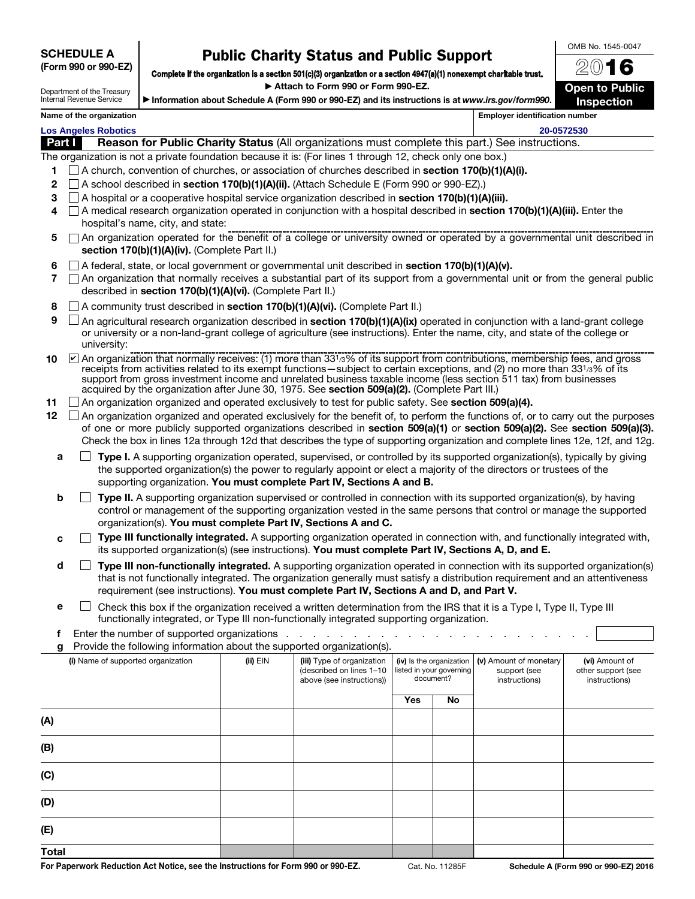**SCHEDULE A** (Form 990 or 990-EZ)

# **Public Charity Status and Public Support**

OMB No. 1545-0047

Complete if the organization is a section 501(c)(3) organization or a section 4947(a)(1) nonexempt charitable trust. Attach to Form 990 or Form 990-EZ.

Department of the Treasury<br>Internal Revenue Service

Information about Schedule A (Form 990 or 990-EZ) and its instructions is at www.irs.gov/form990.

2016 **Open to Public** Inspection

## N L

|                  | Name of the organization                                                                                                                                                                                                                                                                                                                                                                                                                                                                                                                                                                                                      |          |                                                                                     |     |                                                                   | <b>Employer identification number</b>                   |                                                       |
|------------------|-------------------------------------------------------------------------------------------------------------------------------------------------------------------------------------------------------------------------------------------------------------------------------------------------------------------------------------------------------------------------------------------------------------------------------------------------------------------------------------------------------------------------------------------------------------------------------------------------------------------------------|----------|-------------------------------------------------------------------------------------|-----|-------------------------------------------------------------------|---------------------------------------------------------|-------------------------------------------------------|
|                  | <b>Los Angeles Robotics</b>                                                                                                                                                                                                                                                                                                                                                                                                                                                                                                                                                                                                   |          |                                                                                     |     |                                                                   | 20-0572530                                              |                                                       |
| <b>Part I</b>    | Reason for Public Charity Status (All organizations must complete this part.) See instructions.                                                                                                                                                                                                                                                                                                                                                                                                                                                                                                                               |          |                                                                                     |     |                                                                   |                                                         |                                                       |
| 1<br>2<br>3<br>4 | The organization is not a private foundation because it is: (For lines 1 through 12, check only one box.)<br>$\Box$ A church, convention of churches, or association of churches described in section 170(b)(1)(A)(i).<br>$\Box$ A school described in <b>section 170(b)(1)(A)(ii).</b> (Attach Schedule E (Form 990 or 990-EZ).)<br>$\Box$ A hospital or a cooperative hospital service organization described in <b>section 170(b)(1)(A)(iii).</b><br>$\Box$ A medical research organization operated in conjunction with a hospital described in section 170(b)(1)(A)(iii). Enter the<br>hospital's name, city, and state: |          |                                                                                     |     |                                                                   |                                                         |                                                       |
| 5                | □ An organization operated for the benefit of a college or university owned or operated by a governmental unit described in<br>section 170(b)(1)(A)(iv). (Complete Part II.)                                                                                                                                                                                                                                                                                                                                                                                                                                                  |          |                                                                                     |     |                                                                   |                                                         |                                                       |
| 6<br>7           | $\Box$ A federal, state, or local government or governmental unit described in section 170(b)(1)(A)(v).<br>$\Box$ An organization that normally receives a substantial part of its support from a governmental unit or from the general public<br>described in section 170(b)(1)(A)(vi). (Complete Part II.)                                                                                                                                                                                                                                                                                                                  |          |                                                                                     |     |                                                                   |                                                         |                                                       |
| 8                | A community trust described in section 170(b)(1)(A)(vi). (Complete Part II.)                                                                                                                                                                                                                                                                                                                                                                                                                                                                                                                                                  |          |                                                                                     |     |                                                                   |                                                         |                                                       |
| 9                | An agricultural research organization described in section 170(b)(1)(A)(ix) operated in conjunction with a land-grant college<br>or university or a non-land-grant college of agriculture (see instructions). Enter the name, city, and state of the college or<br>university:                                                                                                                                                                                                                                                                                                                                                |          |                                                                                     |     |                                                                   |                                                         |                                                       |
| 10               | An organization that normally receives: (1) more than $33\frac{1}{3}\%$ of its support from contributions, membership fees, and gross<br>receipts from activities related to its exempt functions—subject to certain exceptions, and (2) no more than 331/3% of its<br>support from gross investment income and unrelated business taxable income (less section 511 tax) from businesses<br>acquired by the organization after June 30, 1975. See section 509(a)(2). (Complete Part III.)                                                                                                                                     |          |                                                                                     |     |                                                                   |                                                         |                                                       |
| 11               | $\Box$ An organization organized and operated exclusively to test for public safety. See section 509(a)(4).                                                                                                                                                                                                                                                                                                                                                                                                                                                                                                                   |          |                                                                                     |     |                                                                   |                                                         |                                                       |
| 12               | $\Box$ An organization organized and operated exclusively for the benefit of, to perform the functions of, or to carry out the purposes                                                                                                                                                                                                                                                                                                                                                                                                                                                                                       |          |                                                                                     |     |                                                                   |                                                         |                                                       |
|                  | of one or more publicly supported organizations described in section 509(a)(1) or section 509(a)(2). See section 509(a)(3).                                                                                                                                                                                                                                                                                                                                                                                                                                                                                                   |          |                                                                                     |     |                                                                   |                                                         |                                                       |
|                  | Check the box in lines 12a through 12d that describes the type of supporting organization and complete lines 12e, 12f, and 12g.                                                                                                                                                                                                                                                                                                                                                                                                                                                                                               |          |                                                                                     |     |                                                                   |                                                         |                                                       |
| a                | Type I. A supporting organization operated, supervised, or controlled by its supported organization(s), typically by giving<br>the supported organization(s) the power to regularly appoint or elect a majority of the directors or trustees of the<br>supporting organization. You must complete Part IV, Sections A and B.                                                                                                                                                                                                                                                                                                  |          |                                                                                     |     |                                                                   |                                                         |                                                       |
| b                | Type II. A supporting organization supervised or controlled in connection with its supported organization(s), by having<br>control or management of the supporting organization vested in the same persons that control or manage the supported<br>organization(s). You must complete Part IV, Sections A and C.                                                                                                                                                                                                                                                                                                              |          |                                                                                     |     |                                                                   |                                                         |                                                       |
| c                | Type III functionally integrated. A supporting organization operated in connection with, and functionally integrated with,<br>its supported organization(s) (see instructions). You must complete Part IV, Sections A, D, and E.                                                                                                                                                                                                                                                                                                                                                                                              |          |                                                                                     |     |                                                                   |                                                         |                                                       |
| d                | Type III non-functionally integrated. A supporting organization operated in connection with its supported organization(s)<br>that is not functionally integrated. The organization generally must satisfy a distribution requirement and an attentiveness<br>requirement (see instructions). You must complete Part IV, Sections A and D, and Part V.                                                                                                                                                                                                                                                                         |          |                                                                                     |     |                                                                   |                                                         |                                                       |
| е                | Check this box if the organization received a written determination from the IRS that it is a Type I, Type II, Type III<br>functionally integrated, or Type III non-functionally integrated supporting organization.                                                                                                                                                                                                                                                                                                                                                                                                          |          |                                                                                     |     |                                                                   |                                                         |                                                       |
| f                | Enter the number of supported organizations                                                                                                                                                                                                                                                                                                                                                                                                                                                                                                                                                                                   |          |                                                                                     |     |                                                                   |                                                         |                                                       |
| g                | Provide the following information about the supported organization(s).                                                                                                                                                                                                                                                                                                                                                                                                                                                                                                                                                        |          |                                                                                     |     |                                                                   |                                                         |                                                       |
|                  | (i) Name of supported organization                                                                                                                                                                                                                                                                                                                                                                                                                                                                                                                                                                                            | (ii) EIN | (iii) Type of organization<br>(described on lines 1-10<br>above (see instructions)) |     | (iv) Is the organization<br>listed in your governing<br>document? | (v) Amount of monetary<br>support (see<br>instructions) | (vi) Amount of<br>other support (see<br>instructions) |
|                  |                                                                                                                                                                                                                                                                                                                                                                                                                                                                                                                                                                                                                               |          |                                                                                     | Yes | No                                                                |                                                         |                                                       |
| (A)              |                                                                                                                                                                                                                                                                                                                                                                                                                                                                                                                                                                                                                               |          |                                                                                     |     |                                                                   |                                                         |                                                       |
| (B)              |                                                                                                                                                                                                                                                                                                                                                                                                                                                                                                                                                                                                                               |          |                                                                                     |     |                                                                   |                                                         |                                                       |
| (C)              |                                                                                                                                                                                                                                                                                                                                                                                                                                                                                                                                                                                                                               |          |                                                                                     |     |                                                                   |                                                         |                                                       |

 $(D)$ 

 $(E)$ 

**Total**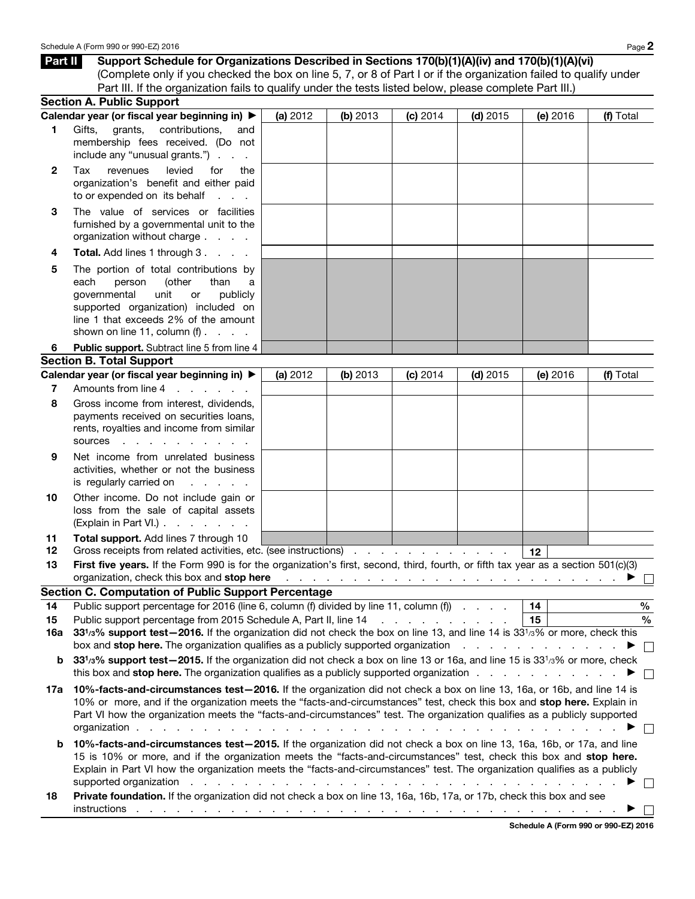Part II

|                | (Complete only if you checked the box on line 5, 7, or 8 of Part I or if the organization failed to qualify under<br>Part III. If the organization fails to qualify under the tests listed below, please complete Part III.)                                                                                                                                                                                                                                                                                                                                                                                                         |          |          |          |            |          |           |
|----------------|--------------------------------------------------------------------------------------------------------------------------------------------------------------------------------------------------------------------------------------------------------------------------------------------------------------------------------------------------------------------------------------------------------------------------------------------------------------------------------------------------------------------------------------------------------------------------------------------------------------------------------------|----------|----------|----------|------------|----------|-----------|
|                | <b>Section A. Public Support</b>                                                                                                                                                                                                                                                                                                                                                                                                                                                                                                                                                                                                     |          |          |          |            |          |           |
|                | Calendar year (or fiscal year beginning in) ▶                                                                                                                                                                                                                                                                                                                                                                                                                                                                                                                                                                                        | (a) 2012 | (b) 2013 | (c) 2014 | $(d)$ 2015 | (e) 2016 | (f) Total |
| 1.             | Gifts,<br>grants, contributions,<br>and<br>membership fees received. (Do not<br>include any "unusual grants.")                                                                                                                                                                                                                                                                                                                                                                                                                                                                                                                       |          |          |          |            |          |           |
| $\mathbf{2}$   | levied<br>Tax<br>revenues<br>for<br>the<br>organization's benefit and either paid<br>to or expended on its behalf                                                                                                                                                                                                                                                                                                                                                                                                                                                                                                                    |          |          |          |            |          |           |
| 3              | The value of services or facilities<br>furnished by a governmental unit to the<br>organization without charge                                                                                                                                                                                                                                                                                                                                                                                                                                                                                                                        |          |          |          |            |          |           |
| 4              | Total. Add lines 1 through 3.                                                                                                                                                                                                                                                                                                                                                                                                                                                                                                                                                                                                        |          |          |          |            |          |           |
| 5              | The portion of total contributions by<br>each<br>(other<br>than<br>person<br>a<br>unit<br>governmental<br>publicly<br>or<br>supported organization) included on<br>line 1 that exceeds 2% of the amount<br>shown on line 11, column $(f)$ .                                                                                                                                                                                                                                                                                                                                                                                          |          |          |          |            |          |           |
| 6              | Public support. Subtract line 5 from line 4                                                                                                                                                                                                                                                                                                                                                                                                                                                                                                                                                                                          |          |          |          |            |          |           |
|                | <b>Section B. Total Support</b>                                                                                                                                                                                                                                                                                                                                                                                                                                                                                                                                                                                                      |          |          |          |            |          |           |
|                | Calendar year (or fiscal year beginning in) ▶                                                                                                                                                                                                                                                                                                                                                                                                                                                                                                                                                                                        | (a) 2012 | (b) 2013 | (c) 2014 | $(d)$ 2015 | (e) 2016 | (f) Total |
| $\overline{7}$ | Amounts from line 4                                                                                                                                                                                                                                                                                                                                                                                                                                                                                                                                                                                                                  |          |          |          |            |          |           |
| 8              | Gross income from interest, dividends,<br>payments received on securities loans,<br>rents, royalties and income from similar<br>sources<br>and the company of the company of                                                                                                                                                                                                                                                                                                                                                                                                                                                         |          |          |          |            |          |           |
| 9              | Net income from unrelated business<br>activities, whether or not the business<br>is regularly carried on<br>and a state of                                                                                                                                                                                                                                                                                                                                                                                                                                                                                                           |          |          |          |            |          |           |
| 10             | Other income. Do not include gain or<br>loss from the sale of capital assets<br>(Explain in Part VI.)                                                                                                                                                                                                                                                                                                                                                                                                                                                                                                                                |          |          |          |            |          |           |
| 11             | Total support. Add lines 7 through 10                                                                                                                                                                                                                                                                                                                                                                                                                                                                                                                                                                                                |          |          |          |            |          |           |
| 12             | Gross receipts from related activities, etc. (see instructions)                                                                                                                                                                                                                                                                                                                                                                                                                                                                                                                                                                      |          |          |          |            | 12       |           |
| 13             | First five years. If the Form 990 is for the organization's first, second, third, fourth, or fifth tax year as a section 501(c)(3)                                                                                                                                                                                                                                                                                                                                                                                                                                                                                                   |          |          |          |            |          |           |
|                | organization, check this box and stop here                                                                                                                                                                                                                                                                                                                                                                                                                                                                                                                                                                                           |          |          |          |            |          | ▶ □       |
|                | <b>Section C. Computation of Public Support Percentage</b>                                                                                                                                                                                                                                                                                                                                                                                                                                                                                                                                                                           |          |          |          |            |          |           |
| 14             | Public support percentage for 2016 (line 6, column (f) divided by line 11, column (f)                                                                                                                                                                                                                                                                                                                                                                                                                                                                                                                                                |          |          |          |            | 14       | $\%$      |
| 15             | Public support percentage from 2015 Schedule A, Part II, line 14<br>331/3% support test-2016. If the organization did not check the box on line 13, and line 14 is 331/3% or more, check this                                                                                                                                                                                                                                                                                                                                                                                                                                        |          |          |          |            | 15       | $\%$      |
| 16a            | box and <b>stop here.</b> The organization qualifies as a publicly supported organization enterpresent and stop here.                                                                                                                                                                                                                                                                                                                                                                                                                                                                                                                |          |          |          |            |          |           |
| b              | 331/3% support test-2015. If the organization did not check a box on line 13 or 16a, and line 15 is 331/3% or more, check                                                                                                                                                                                                                                                                                                                                                                                                                                                                                                            |          |          |          |            |          |           |
|                | this box and <b>stop here.</b> The organization qualifies as a publicly supported organization                                                                                                                                                                                                                                                                                                                                                                                                                                                                                                                                       |          |          |          |            |          |           |
| 17а            | 10%-facts-and-circumstances test-2016. If the organization did not check a box on line 13, 16a, or 16b, and line 14 is                                                                                                                                                                                                                                                                                                                                                                                                                                                                                                               |          |          |          |            |          |           |
|                | 10% or more, and if the organization meets the "facts-and-circumstances" test, check this box and stop here. Explain in<br>Part VI how the organization meets the "facts-and-circumstances" test. The organization qualifies as a publicly supported<br>organization.<br>and a construction of the construction of the construction of the construction of                                                                                                                                                                                                                                                                           |          |          |          |            |          |           |
| b              | 10%-facts-and-circumstances test-2015. If the organization did not check a box on line 13, 16a, 16b, or 17a, and line<br>15 is 10% or more, and if the organization meets the "facts-and-circumstances" test, check this box and stop here.<br>Explain in Part VI how the organization meets the "facts-and-circumstances" test. The organization qualifies as a publicly<br>supported organization<br>a construction of the construction of the construction of the construction of the construction of the construction of the construction of the construction of the construction of the construction of the construction of the |          |          |          |            |          |           |
| 18             | Private foundation. If the organization did not check a box on line 13, 16a, 16b, 17a, or 17b, check this box and see                                                                                                                                                                                                                                                                                                                                                                                                                                                                                                                |          |          |          |            |          |           |

Schedule A (Form 990 or 990-EZ) 2016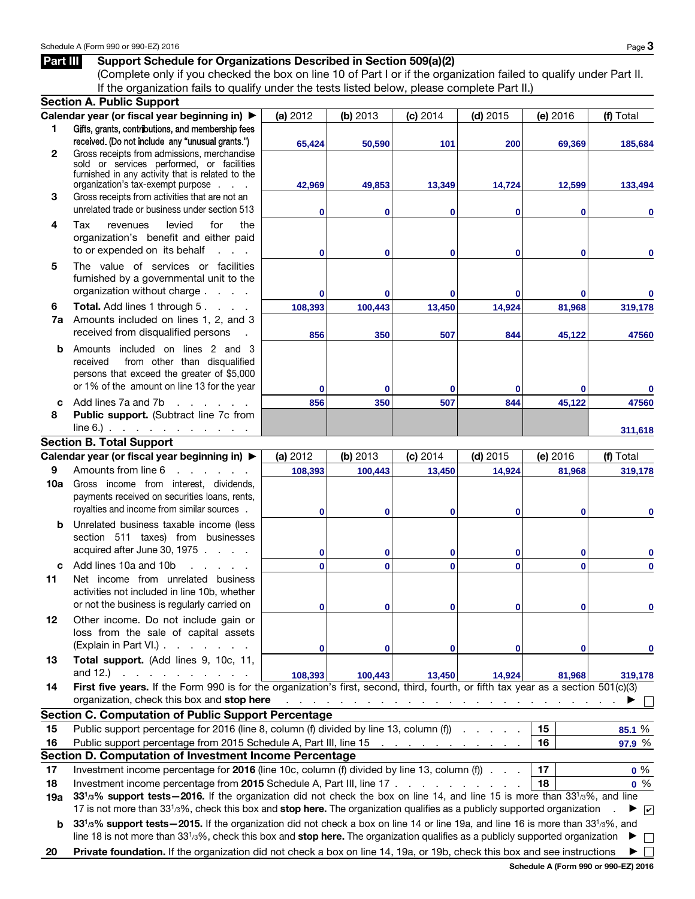#### Part III Support Schedule for Organizations Described in Section 509(a)(2)

(Complete only if you checked the box on line 10 of Part I or if the organization failed to qualify under Part II. If the organization fails to qualify under the tests listed below, please complete Part II.)

| Calendar year (or fiscal year beginning in) ▶<br>(a) 2012<br>(b) 2013<br>(c) 2014<br>$(d)$ 2015<br>(e) 2016<br>(f) Total<br>Gifts, grants, contributions, and membership fees<br>1<br>received. (Do not include any "unusual grants.")<br>65,424<br>50,590<br>101<br>200<br>69,369<br>185,684<br>Gross receipts from admissions, merchandise<br>$\mathbf{2}$<br>sold or services performed, or facilities<br>furnished in any activity that is related to the<br>organization's tax-exempt purpose<br>42,969<br>49,853<br>13,349<br>14,724<br>12,599<br>133,494<br>Gross receipts from activities that are not an<br>3<br>unrelated trade or business under section 513<br>$\bf{0}$<br>0<br>0<br>0<br>$\bf{0}$<br>0<br>levied<br>the<br>4<br>Tax<br>revenues<br>for<br>organization's benefit and either paid<br>to or expended on its behalf<br><b>Contract Contract</b><br>$\mathbf 0$<br>0<br>0<br>0<br>$\mathbf 0$<br>0<br>The value of services or facilities<br>5<br>furnished by a governmental unit to the<br>organization without charge<br>0<br>0<br>0<br>0<br>0<br>Total. Add lines 1 through 5.<br>108,393<br>100,443<br>13,450<br>14,924<br>81,968<br>6<br>319,178<br>Amounts included on lines 1, 2, and 3<br>7a<br>received from disqualified persons<br>856<br>350<br>507<br>844<br>45,122<br>47560<br>Amounts included on lines 2 and 3<br>b<br>from other than disqualified<br>received<br>persons that exceed the greater of \$5,000<br>or 1% of the amount on line 13 for the year<br>$\bf{0}$<br>0<br>0<br>0<br>0<br>Add lines 7a and 7b<br>350<br>856<br>507<br>45,122<br>47560<br>and the company of the company<br>844<br>c<br>Public support. (Subtract line 7c from<br>8<br>$line 6.)$<br>311,618<br><b>Section B. Total Support</b><br>Calendar year (or fiscal year beginning in) ▶<br>(b) 2013<br>(a) 2012<br>$(c)$ 2014<br>$(d)$ 2015<br>(e) $2016$<br>(f) Total<br>Amounts from line 6<br>9<br>108,393<br>100,443<br>13,450<br>14,924<br>81,968<br>319,178<br>Gross income from interest, dividends,<br>10a<br>payments received on securities loans, rents,<br>royalties and income from similar sources.<br>0<br>0<br>0<br>$\bf{0}$<br>0<br>0<br>Unrelated business taxable income (less<br>b<br>section 511 taxes) from businesses<br>acquired after June 30, 1975<br>0<br>0<br>0<br>$\mathbf 0$<br>0<br>0<br>Add lines 10a and 10b<br>$\mathbf{0}$<br>$\mathbf{0}$<br>$\mathbf{0}$<br>$\bf{0}$<br>$\mathbf{0}$<br>$\mathbf{0}$<br>c<br>Net income from unrelated business<br>11<br>activities not included in line 10b, whether<br>or not the business is regularly carried on<br>$\mathbf{0}$<br>$\mathbf{0}$<br>0<br>0<br>$\mathbf{0}$<br>$\mathbf 0$<br>Other income. Do not include gain or<br>12<br>loss from the sale of capital assets<br>(Explain in Part VI.)<br>$\mathbf{0}$<br>0<br>0<br>0<br>$\mathbf 0$<br>0<br>Total support. (Add lines 9, 10c, 11,<br>13<br>and 12.) $\cdots$ $\cdots$<br>108,393<br>100,443<br>13,450<br>14,924<br>81,968<br>319,178<br>First five years. If the Form 990 is for the organization's first, second, third, fourth, or fifth tax year as a section 501(c)(3)<br>14<br>organization, check this box and stop here<br>والمناور والمناور والمناور والمناور والمناور والمناور والمناور والمناور والمناور<br><b>Section C. Computation of Public Support Percentage</b><br>Public support percentage for 2016 (line 8, column (f) divided by line 13, column (f)<br>15<br>15<br>85.1 %<br>Public support percentage from 2015 Schedule A, Part III, line 15<br>16<br>16<br>97.9 %<br>Section D. Computation of Investment Income Percentage<br>Investment income percentage for 2016 (line 10c, column (f) divided by line 13, column (f) $\ldots$<br>17<br>17<br>$0\%$<br>Investment income percentage from 2015 Schedule A, Part III, line 17<br>18<br>18<br>$0\%$<br>331/3% support tests - 2016. If the organization did not check the box on line 14, and line 15 is more than 331/3%, and line<br>19а<br>17 is not more than 33 <sup>1</sup> /3%, check this box and stop here. The organization qualifies as a publicly supported organization<br>$\sqrt{2}$<br>331/3% support tests - 2015. If the organization did not check a box on line 14 or line 19a, and line 16 is more than 331/3%, and<br>b<br>line 18 is not more than $3313%$ , check this box and stop here. The organization qualifies as a publicly supported organization<br>$\mathbf{L}$<br>Private foundation. If the organization did not check a box on line 14, 19a, or 19b, check this box and see instructions<br>20 | <b>Section A. Public Support</b> |  |  |  |
|----------------------------------------------------------------------------------------------------------------------------------------------------------------------------------------------------------------------------------------------------------------------------------------------------------------------------------------------------------------------------------------------------------------------------------------------------------------------------------------------------------------------------------------------------------------------------------------------------------------------------------------------------------------------------------------------------------------------------------------------------------------------------------------------------------------------------------------------------------------------------------------------------------------------------------------------------------------------------------------------------------------------------------------------------------------------------------------------------------------------------------------------------------------------------------------------------------------------------------------------------------------------------------------------------------------------------------------------------------------------------------------------------------------------------------------------------------------------------------------------------------------------------------------------------------------------------------------------------------------------------------------------------------------------------------------------------------------------------------------------------------------------------------------------------------------------------------------------------------------------------------------------------------------------------------------------------------------------------------------------------------------------------------------------------------------------------------------------------------------------------------------------------------------------------------------------------------------------------------------------------------------------------------------------------------------------------------------------------------------------------------------------------------------------------------------------------------------------------------------------------------------------------------------------------------------------------------------------------------------------------------------------------------------------------------------------------------------------------------------------------------------------------------------------------------------------------------------------------------------------------------------------------------------------------------------------------------------------------------------------------------------------------------------------------------------------------------------------------------------------------------------------------------------------------------------------------------------------------------------------------------------------------------------------------------------------------------------------------------------------------------------------------------------------------------------------------------------------------------------------------------------------------------------------------------------------------------------------------------------------------------------------------------------------------------------------------------------------------------------------------------------------------------------------------------------------------------------------------------------------------------------------------------------------------------------------------------------------------------------------------------------------------------------------------------------------------------------------------------------------------------------------------------------------------------------------------------------------------------------------------------------------------------------------------------------------------------------------------------------------------------------------------------------------------------------------------------------------------------------------------------------------------------------------------------------------------------|----------------------------------|--|--|--|
|                                                                                                                                                                                                                                                                                                                                                                                                                                                                                                                                                                                                                                                                                                                                                                                                                                                                                                                                                                                                                                                                                                                                                                                                                                                                                                                                                                                                                                                                                                                                                                                                                                                                                                                                                                                                                                                                                                                                                                                                                                                                                                                                                                                                                                                                                                                                                                                                                                                                                                                                                                                                                                                                                                                                                                                                                                                                                                                                                                                                                                                                                                                                                                                                                                                                                                                                                                                                                                                                                                                                                                                                                                                                                                                                                                                                                                                                                                                                                                                                                                                                                                                                                                                                                                                                                                                                                                                                                                                                                                                                                                                  |                                  |  |  |  |
|                                                                                                                                                                                                                                                                                                                                                                                                                                                                                                                                                                                                                                                                                                                                                                                                                                                                                                                                                                                                                                                                                                                                                                                                                                                                                                                                                                                                                                                                                                                                                                                                                                                                                                                                                                                                                                                                                                                                                                                                                                                                                                                                                                                                                                                                                                                                                                                                                                                                                                                                                                                                                                                                                                                                                                                                                                                                                                                                                                                                                                                                                                                                                                                                                                                                                                                                                                                                                                                                                                                                                                                                                                                                                                                                                                                                                                                                                                                                                                                                                                                                                                                                                                                                                                                                                                                                                                                                                                                                                                                                                                                  |                                  |  |  |  |
|                                                                                                                                                                                                                                                                                                                                                                                                                                                                                                                                                                                                                                                                                                                                                                                                                                                                                                                                                                                                                                                                                                                                                                                                                                                                                                                                                                                                                                                                                                                                                                                                                                                                                                                                                                                                                                                                                                                                                                                                                                                                                                                                                                                                                                                                                                                                                                                                                                                                                                                                                                                                                                                                                                                                                                                                                                                                                                                                                                                                                                                                                                                                                                                                                                                                                                                                                                                                                                                                                                                                                                                                                                                                                                                                                                                                                                                                                                                                                                                                                                                                                                                                                                                                                                                                                                                                                                                                                                                                                                                                                                                  |                                  |  |  |  |
|                                                                                                                                                                                                                                                                                                                                                                                                                                                                                                                                                                                                                                                                                                                                                                                                                                                                                                                                                                                                                                                                                                                                                                                                                                                                                                                                                                                                                                                                                                                                                                                                                                                                                                                                                                                                                                                                                                                                                                                                                                                                                                                                                                                                                                                                                                                                                                                                                                                                                                                                                                                                                                                                                                                                                                                                                                                                                                                                                                                                                                                                                                                                                                                                                                                                                                                                                                                                                                                                                                                                                                                                                                                                                                                                                                                                                                                                                                                                                                                                                                                                                                                                                                                                                                                                                                                                                                                                                                                                                                                                                                                  |                                  |  |  |  |
|                                                                                                                                                                                                                                                                                                                                                                                                                                                                                                                                                                                                                                                                                                                                                                                                                                                                                                                                                                                                                                                                                                                                                                                                                                                                                                                                                                                                                                                                                                                                                                                                                                                                                                                                                                                                                                                                                                                                                                                                                                                                                                                                                                                                                                                                                                                                                                                                                                                                                                                                                                                                                                                                                                                                                                                                                                                                                                                                                                                                                                                                                                                                                                                                                                                                                                                                                                                                                                                                                                                                                                                                                                                                                                                                                                                                                                                                                                                                                                                                                                                                                                                                                                                                                                                                                                                                                                                                                                                                                                                                                                                  |                                  |  |  |  |
|                                                                                                                                                                                                                                                                                                                                                                                                                                                                                                                                                                                                                                                                                                                                                                                                                                                                                                                                                                                                                                                                                                                                                                                                                                                                                                                                                                                                                                                                                                                                                                                                                                                                                                                                                                                                                                                                                                                                                                                                                                                                                                                                                                                                                                                                                                                                                                                                                                                                                                                                                                                                                                                                                                                                                                                                                                                                                                                                                                                                                                                                                                                                                                                                                                                                                                                                                                                                                                                                                                                                                                                                                                                                                                                                                                                                                                                                                                                                                                                                                                                                                                                                                                                                                                                                                                                                                                                                                                                                                                                                                                                  |                                  |  |  |  |
|                                                                                                                                                                                                                                                                                                                                                                                                                                                                                                                                                                                                                                                                                                                                                                                                                                                                                                                                                                                                                                                                                                                                                                                                                                                                                                                                                                                                                                                                                                                                                                                                                                                                                                                                                                                                                                                                                                                                                                                                                                                                                                                                                                                                                                                                                                                                                                                                                                                                                                                                                                                                                                                                                                                                                                                                                                                                                                                                                                                                                                                                                                                                                                                                                                                                                                                                                                                                                                                                                                                                                                                                                                                                                                                                                                                                                                                                                                                                                                                                                                                                                                                                                                                                                                                                                                                                                                                                                                                                                                                                                                                  |                                  |  |  |  |
|                                                                                                                                                                                                                                                                                                                                                                                                                                                                                                                                                                                                                                                                                                                                                                                                                                                                                                                                                                                                                                                                                                                                                                                                                                                                                                                                                                                                                                                                                                                                                                                                                                                                                                                                                                                                                                                                                                                                                                                                                                                                                                                                                                                                                                                                                                                                                                                                                                                                                                                                                                                                                                                                                                                                                                                                                                                                                                                                                                                                                                                                                                                                                                                                                                                                                                                                                                                                                                                                                                                                                                                                                                                                                                                                                                                                                                                                                                                                                                                                                                                                                                                                                                                                                                                                                                                                                                                                                                                                                                                                                                                  |                                  |  |  |  |
|                                                                                                                                                                                                                                                                                                                                                                                                                                                                                                                                                                                                                                                                                                                                                                                                                                                                                                                                                                                                                                                                                                                                                                                                                                                                                                                                                                                                                                                                                                                                                                                                                                                                                                                                                                                                                                                                                                                                                                                                                                                                                                                                                                                                                                                                                                                                                                                                                                                                                                                                                                                                                                                                                                                                                                                                                                                                                                                                                                                                                                                                                                                                                                                                                                                                                                                                                                                                                                                                                                                                                                                                                                                                                                                                                                                                                                                                                                                                                                                                                                                                                                                                                                                                                                                                                                                                                                                                                                                                                                                                                                                  |                                  |  |  |  |
|                                                                                                                                                                                                                                                                                                                                                                                                                                                                                                                                                                                                                                                                                                                                                                                                                                                                                                                                                                                                                                                                                                                                                                                                                                                                                                                                                                                                                                                                                                                                                                                                                                                                                                                                                                                                                                                                                                                                                                                                                                                                                                                                                                                                                                                                                                                                                                                                                                                                                                                                                                                                                                                                                                                                                                                                                                                                                                                                                                                                                                                                                                                                                                                                                                                                                                                                                                                                                                                                                                                                                                                                                                                                                                                                                                                                                                                                                                                                                                                                                                                                                                                                                                                                                                                                                                                                                                                                                                                                                                                                                                                  |                                  |  |  |  |
|                                                                                                                                                                                                                                                                                                                                                                                                                                                                                                                                                                                                                                                                                                                                                                                                                                                                                                                                                                                                                                                                                                                                                                                                                                                                                                                                                                                                                                                                                                                                                                                                                                                                                                                                                                                                                                                                                                                                                                                                                                                                                                                                                                                                                                                                                                                                                                                                                                                                                                                                                                                                                                                                                                                                                                                                                                                                                                                                                                                                                                                                                                                                                                                                                                                                                                                                                                                                                                                                                                                                                                                                                                                                                                                                                                                                                                                                                                                                                                                                                                                                                                                                                                                                                                                                                                                                                                                                                                                                                                                                                                                  |                                  |  |  |  |
|                                                                                                                                                                                                                                                                                                                                                                                                                                                                                                                                                                                                                                                                                                                                                                                                                                                                                                                                                                                                                                                                                                                                                                                                                                                                                                                                                                                                                                                                                                                                                                                                                                                                                                                                                                                                                                                                                                                                                                                                                                                                                                                                                                                                                                                                                                                                                                                                                                                                                                                                                                                                                                                                                                                                                                                                                                                                                                                                                                                                                                                                                                                                                                                                                                                                                                                                                                                                                                                                                                                                                                                                                                                                                                                                                                                                                                                                                                                                                                                                                                                                                                                                                                                                                                                                                                                                                                                                                                                                                                                                                                                  |                                  |  |  |  |
|                                                                                                                                                                                                                                                                                                                                                                                                                                                                                                                                                                                                                                                                                                                                                                                                                                                                                                                                                                                                                                                                                                                                                                                                                                                                                                                                                                                                                                                                                                                                                                                                                                                                                                                                                                                                                                                                                                                                                                                                                                                                                                                                                                                                                                                                                                                                                                                                                                                                                                                                                                                                                                                                                                                                                                                                                                                                                                                                                                                                                                                                                                                                                                                                                                                                                                                                                                                                                                                                                                                                                                                                                                                                                                                                                                                                                                                                                                                                                                                                                                                                                                                                                                                                                                                                                                                                                                                                                                                                                                                                                                                  |                                  |  |  |  |
|                                                                                                                                                                                                                                                                                                                                                                                                                                                                                                                                                                                                                                                                                                                                                                                                                                                                                                                                                                                                                                                                                                                                                                                                                                                                                                                                                                                                                                                                                                                                                                                                                                                                                                                                                                                                                                                                                                                                                                                                                                                                                                                                                                                                                                                                                                                                                                                                                                                                                                                                                                                                                                                                                                                                                                                                                                                                                                                                                                                                                                                                                                                                                                                                                                                                                                                                                                                                                                                                                                                                                                                                                                                                                                                                                                                                                                                                                                                                                                                                                                                                                                                                                                                                                                                                                                                                                                                                                                                                                                                                                                                  |                                  |  |  |  |
|                                                                                                                                                                                                                                                                                                                                                                                                                                                                                                                                                                                                                                                                                                                                                                                                                                                                                                                                                                                                                                                                                                                                                                                                                                                                                                                                                                                                                                                                                                                                                                                                                                                                                                                                                                                                                                                                                                                                                                                                                                                                                                                                                                                                                                                                                                                                                                                                                                                                                                                                                                                                                                                                                                                                                                                                                                                                                                                                                                                                                                                                                                                                                                                                                                                                                                                                                                                                                                                                                                                                                                                                                                                                                                                                                                                                                                                                                                                                                                                                                                                                                                                                                                                                                                                                                                                                                                                                                                                                                                                                                                                  |                                  |  |  |  |
|                                                                                                                                                                                                                                                                                                                                                                                                                                                                                                                                                                                                                                                                                                                                                                                                                                                                                                                                                                                                                                                                                                                                                                                                                                                                                                                                                                                                                                                                                                                                                                                                                                                                                                                                                                                                                                                                                                                                                                                                                                                                                                                                                                                                                                                                                                                                                                                                                                                                                                                                                                                                                                                                                                                                                                                                                                                                                                                                                                                                                                                                                                                                                                                                                                                                                                                                                                                                                                                                                                                                                                                                                                                                                                                                                                                                                                                                                                                                                                                                                                                                                                                                                                                                                                                                                                                                                                                                                                                                                                                                                                                  |                                  |  |  |  |
|                                                                                                                                                                                                                                                                                                                                                                                                                                                                                                                                                                                                                                                                                                                                                                                                                                                                                                                                                                                                                                                                                                                                                                                                                                                                                                                                                                                                                                                                                                                                                                                                                                                                                                                                                                                                                                                                                                                                                                                                                                                                                                                                                                                                                                                                                                                                                                                                                                                                                                                                                                                                                                                                                                                                                                                                                                                                                                                                                                                                                                                                                                                                                                                                                                                                                                                                                                                                                                                                                                                                                                                                                                                                                                                                                                                                                                                                                                                                                                                                                                                                                                                                                                                                                                                                                                                                                                                                                                                                                                                                                                                  |                                  |  |  |  |
|                                                                                                                                                                                                                                                                                                                                                                                                                                                                                                                                                                                                                                                                                                                                                                                                                                                                                                                                                                                                                                                                                                                                                                                                                                                                                                                                                                                                                                                                                                                                                                                                                                                                                                                                                                                                                                                                                                                                                                                                                                                                                                                                                                                                                                                                                                                                                                                                                                                                                                                                                                                                                                                                                                                                                                                                                                                                                                                                                                                                                                                                                                                                                                                                                                                                                                                                                                                                                                                                                                                                                                                                                                                                                                                                                                                                                                                                                                                                                                                                                                                                                                                                                                                                                                                                                                                                                                                                                                                                                                                                                                                  |                                  |  |  |  |
|                                                                                                                                                                                                                                                                                                                                                                                                                                                                                                                                                                                                                                                                                                                                                                                                                                                                                                                                                                                                                                                                                                                                                                                                                                                                                                                                                                                                                                                                                                                                                                                                                                                                                                                                                                                                                                                                                                                                                                                                                                                                                                                                                                                                                                                                                                                                                                                                                                                                                                                                                                                                                                                                                                                                                                                                                                                                                                                                                                                                                                                                                                                                                                                                                                                                                                                                                                                                                                                                                                                                                                                                                                                                                                                                                                                                                                                                                                                                                                                                                                                                                                                                                                                                                                                                                                                                                                                                                                                                                                                                                                                  |                                  |  |  |  |
|                                                                                                                                                                                                                                                                                                                                                                                                                                                                                                                                                                                                                                                                                                                                                                                                                                                                                                                                                                                                                                                                                                                                                                                                                                                                                                                                                                                                                                                                                                                                                                                                                                                                                                                                                                                                                                                                                                                                                                                                                                                                                                                                                                                                                                                                                                                                                                                                                                                                                                                                                                                                                                                                                                                                                                                                                                                                                                                                                                                                                                                                                                                                                                                                                                                                                                                                                                                                                                                                                                                                                                                                                                                                                                                                                                                                                                                                                                                                                                                                                                                                                                                                                                                                                                                                                                                                                                                                                                                                                                                                                                                  |                                  |  |  |  |
|                                                                                                                                                                                                                                                                                                                                                                                                                                                                                                                                                                                                                                                                                                                                                                                                                                                                                                                                                                                                                                                                                                                                                                                                                                                                                                                                                                                                                                                                                                                                                                                                                                                                                                                                                                                                                                                                                                                                                                                                                                                                                                                                                                                                                                                                                                                                                                                                                                                                                                                                                                                                                                                                                                                                                                                                                                                                                                                                                                                                                                                                                                                                                                                                                                                                                                                                                                                                                                                                                                                                                                                                                                                                                                                                                                                                                                                                                                                                                                                                                                                                                                                                                                                                                                                                                                                                                                                                                                                                                                                                                                                  |                                  |  |  |  |
|                                                                                                                                                                                                                                                                                                                                                                                                                                                                                                                                                                                                                                                                                                                                                                                                                                                                                                                                                                                                                                                                                                                                                                                                                                                                                                                                                                                                                                                                                                                                                                                                                                                                                                                                                                                                                                                                                                                                                                                                                                                                                                                                                                                                                                                                                                                                                                                                                                                                                                                                                                                                                                                                                                                                                                                                                                                                                                                                                                                                                                                                                                                                                                                                                                                                                                                                                                                                                                                                                                                                                                                                                                                                                                                                                                                                                                                                                                                                                                                                                                                                                                                                                                                                                                                                                                                                                                                                                                                                                                                                                                                  |                                  |  |  |  |
|                                                                                                                                                                                                                                                                                                                                                                                                                                                                                                                                                                                                                                                                                                                                                                                                                                                                                                                                                                                                                                                                                                                                                                                                                                                                                                                                                                                                                                                                                                                                                                                                                                                                                                                                                                                                                                                                                                                                                                                                                                                                                                                                                                                                                                                                                                                                                                                                                                                                                                                                                                                                                                                                                                                                                                                                                                                                                                                                                                                                                                                                                                                                                                                                                                                                                                                                                                                                                                                                                                                                                                                                                                                                                                                                                                                                                                                                                                                                                                                                                                                                                                                                                                                                                                                                                                                                                                                                                                                                                                                                                                                  |                                  |  |  |  |
|                                                                                                                                                                                                                                                                                                                                                                                                                                                                                                                                                                                                                                                                                                                                                                                                                                                                                                                                                                                                                                                                                                                                                                                                                                                                                                                                                                                                                                                                                                                                                                                                                                                                                                                                                                                                                                                                                                                                                                                                                                                                                                                                                                                                                                                                                                                                                                                                                                                                                                                                                                                                                                                                                                                                                                                                                                                                                                                                                                                                                                                                                                                                                                                                                                                                                                                                                                                                                                                                                                                                                                                                                                                                                                                                                                                                                                                                                                                                                                                                                                                                                                                                                                                                                                                                                                                                                                                                                                                                                                                                                                                  |                                  |  |  |  |
|                                                                                                                                                                                                                                                                                                                                                                                                                                                                                                                                                                                                                                                                                                                                                                                                                                                                                                                                                                                                                                                                                                                                                                                                                                                                                                                                                                                                                                                                                                                                                                                                                                                                                                                                                                                                                                                                                                                                                                                                                                                                                                                                                                                                                                                                                                                                                                                                                                                                                                                                                                                                                                                                                                                                                                                                                                                                                                                                                                                                                                                                                                                                                                                                                                                                                                                                                                                                                                                                                                                                                                                                                                                                                                                                                                                                                                                                                                                                                                                                                                                                                                                                                                                                                                                                                                                                                                                                                                                                                                                                                                                  |                                  |  |  |  |
|                                                                                                                                                                                                                                                                                                                                                                                                                                                                                                                                                                                                                                                                                                                                                                                                                                                                                                                                                                                                                                                                                                                                                                                                                                                                                                                                                                                                                                                                                                                                                                                                                                                                                                                                                                                                                                                                                                                                                                                                                                                                                                                                                                                                                                                                                                                                                                                                                                                                                                                                                                                                                                                                                                                                                                                                                                                                                                                                                                                                                                                                                                                                                                                                                                                                                                                                                                                                                                                                                                                                                                                                                                                                                                                                                                                                                                                                                                                                                                                                                                                                                                                                                                                                                                                                                                                                                                                                                                                                                                                                                                                  |                                  |  |  |  |
|                                                                                                                                                                                                                                                                                                                                                                                                                                                                                                                                                                                                                                                                                                                                                                                                                                                                                                                                                                                                                                                                                                                                                                                                                                                                                                                                                                                                                                                                                                                                                                                                                                                                                                                                                                                                                                                                                                                                                                                                                                                                                                                                                                                                                                                                                                                                                                                                                                                                                                                                                                                                                                                                                                                                                                                                                                                                                                                                                                                                                                                                                                                                                                                                                                                                                                                                                                                                                                                                                                                                                                                                                                                                                                                                                                                                                                                                                                                                                                                                                                                                                                                                                                                                                                                                                                                                                                                                                                                                                                                                                                                  |                                  |  |  |  |
|                                                                                                                                                                                                                                                                                                                                                                                                                                                                                                                                                                                                                                                                                                                                                                                                                                                                                                                                                                                                                                                                                                                                                                                                                                                                                                                                                                                                                                                                                                                                                                                                                                                                                                                                                                                                                                                                                                                                                                                                                                                                                                                                                                                                                                                                                                                                                                                                                                                                                                                                                                                                                                                                                                                                                                                                                                                                                                                                                                                                                                                                                                                                                                                                                                                                                                                                                                                                                                                                                                                                                                                                                                                                                                                                                                                                                                                                                                                                                                                                                                                                                                                                                                                                                                                                                                                                                                                                                                                                                                                                                                                  |                                  |  |  |  |
|                                                                                                                                                                                                                                                                                                                                                                                                                                                                                                                                                                                                                                                                                                                                                                                                                                                                                                                                                                                                                                                                                                                                                                                                                                                                                                                                                                                                                                                                                                                                                                                                                                                                                                                                                                                                                                                                                                                                                                                                                                                                                                                                                                                                                                                                                                                                                                                                                                                                                                                                                                                                                                                                                                                                                                                                                                                                                                                                                                                                                                                                                                                                                                                                                                                                                                                                                                                                                                                                                                                                                                                                                                                                                                                                                                                                                                                                                                                                                                                                                                                                                                                                                                                                                                                                                                                                                                                                                                                                                                                                                                                  |                                  |  |  |  |
|                                                                                                                                                                                                                                                                                                                                                                                                                                                                                                                                                                                                                                                                                                                                                                                                                                                                                                                                                                                                                                                                                                                                                                                                                                                                                                                                                                                                                                                                                                                                                                                                                                                                                                                                                                                                                                                                                                                                                                                                                                                                                                                                                                                                                                                                                                                                                                                                                                                                                                                                                                                                                                                                                                                                                                                                                                                                                                                                                                                                                                                                                                                                                                                                                                                                                                                                                                                                                                                                                                                                                                                                                                                                                                                                                                                                                                                                                                                                                                                                                                                                                                                                                                                                                                                                                                                                                                                                                                                                                                                                                                                  |                                  |  |  |  |
|                                                                                                                                                                                                                                                                                                                                                                                                                                                                                                                                                                                                                                                                                                                                                                                                                                                                                                                                                                                                                                                                                                                                                                                                                                                                                                                                                                                                                                                                                                                                                                                                                                                                                                                                                                                                                                                                                                                                                                                                                                                                                                                                                                                                                                                                                                                                                                                                                                                                                                                                                                                                                                                                                                                                                                                                                                                                                                                                                                                                                                                                                                                                                                                                                                                                                                                                                                                                                                                                                                                                                                                                                                                                                                                                                                                                                                                                                                                                                                                                                                                                                                                                                                                                                                                                                                                                                                                                                                                                                                                                                                                  |                                  |  |  |  |
|                                                                                                                                                                                                                                                                                                                                                                                                                                                                                                                                                                                                                                                                                                                                                                                                                                                                                                                                                                                                                                                                                                                                                                                                                                                                                                                                                                                                                                                                                                                                                                                                                                                                                                                                                                                                                                                                                                                                                                                                                                                                                                                                                                                                                                                                                                                                                                                                                                                                                                                                                                                                                                                                                                                                                                                                                                                                                                                                                                                                                                                                                                                                                                                                                                                                                                                                                                                                                                                                                                                                                                                                                                                                                                                                                                                                                                                                                                                                                                                                                                                                                                                                                                                                                                                                                                                                                                                                                                                                                                                                                                                  |                                  |  |  |  |
|                                                                                                                                                                                                                                                                                                                                                                                                                                                                                                                                                                                                                                                                                                                                                                                                                                                                                                                                                                                                                                                                                                                                                                                                                                                                                                                                                                                                                                                                                                                                                                                                                                                                                                                                                                                                                                                                                                                                                                                                                                                                                                                                                                                                                                                                                                                                                                                                                                                                                                                                                                                                                                                                                                                                                                                                                                                                                                                                                                                                                                                                                                                                                                                                                                                                                                                                                                                                                                                                                                                                                                                                                                                                                                                                                                                                                                                                                                                                                                                                                                                                                                                                                                                                                                                                                                                                                                                                                                                                                                                                                                                  |                                  |  |  |  |
|                                                                                                                                                                                                                                                                                                                                                                                                                                                                                                                                                                                                                                                                                                                                                                                                                                                                                                                                                                                                                                                                                                                                                                                                                                                                                                                                                                                                                                                                                                                                                                                                                                                                                                                                                                                                                                                                                                                                                                                                                                                                                                                                                                                                                                                                                                                                                                                                                                                                                                                                                                                                                                                                                                                                                                                                                                                                                                                                                                                                                                                                                                                                                                                                                                                                                                                                                                                                                                                                                                                                                                                                                                                                                                                                                                                                                                                                                                                                                                                                                                                                                                                                                                                                                                                                                                                                                                                                                                                                                                                                                                                  |                                  |  |  |  |
|                                                                                                                                                                                                                                                                                                                                                                                                                                                                                                                                                                                                                                                                                                                                                                                                                                                                                                                                                                                                                                                                                                                                                                                                                                                                                                                                                                                                                                                                                                                                                                                                                                                                                                                                                                                                                                                                                                                                                                                                                                                                                                                                                                                                                                                                                                                                                                                                                                                                                                                                                                                                                                                                                                                                                                                                                                                                                                                                                                                                                                                                                                                                                                                                                                                                                                                                                                                                                                                                                                                                                                                                                                                                                                                                                                                                                                                                                                                                                                                                                                                                                                                                                                                                                                                                                                                                                                                                                                                                                                                                                                                  |                                  |  |  |  |
|                                                                                                                                                                                                                                                                                                                                                                                                                                                                                                                                                                                                                                                                                                                                                                                                                                                                                                                                                                                                                                                                                                                                                                                                                                                                                                                                                                                                                                                                                                                                                                                                                                                                                                                                                                                                                                                                                                                                                                                                                                                                                                                                                                                                                                                                                                                                                                                                                                                                                                                                                                                                                                                                                                                                                                                                                                                                                                                                                                                                                                                                                                                                                                                                                                                                                                                                                                                                                                                                                                                                                                                                                                                                                                                                                                                                                                                                                                                                                                                                                                                                                                                                                                                                                                                                                                                                                                                                                                                                                                                                                                                  |                                  |  |  |  |
|                                                                                                                                                                                                                                                                                                                                                                                                                                                                                                                                                                                                                                                                                                                                                                                                                                                                                                                                                                                                                                                                                                                                                                                                                                                                                                                                                                                                                                                                                                                                                                                                                                                                                                                                                                                                                                                                                                                                                                                                                                                                                                                                                                                                                                                                                                                                                                                                                                                                                                                                                                                                                                                                                                                                                                                                                                                                                                                                                                                                                                                                                                                                                                                                                                                                                                                                                                                                                                                                                                                                                                                                                                                                                                                                                                                                                                                                                                                                                                                                                                                                                                                                                                                                                                                                                                                                                                                                                                                                                                                                                                                  |                                  |  |  |  |
|                                                                                                                                                                                                                                                                                                                                                                                                                                                                                                                                                                                                                                                                                                                                                                                                                                                                                                                                                                                                                                                                                                                                                                                                                                                                                                                                                                                                                                                                                                                                                                                                                                                                                                                                                                                                                                                                                                                                                                                                                                                                                                                                                                                                                                                                                                                                                                                                                                                                                                                                                                                                                                                                                                                                                                                                                                                                                                                                                                                                                                                                                                                                                                                                                                                                                                                                                                                                                                                                                                                                                                                                                                                                                                                                                                                                                                                                                                                                                                                                                                                                                                                                                                                                                                                                                                                                                                                                                                                                                                                                                                                  |                                  |  |  |  |
|                                                                                                                                                                                                                                                                                                                                                                                                                                                                                                                                                                                                                                                                                                                                                                                                                                                                                                                                                                                                                                                                                                                                                                                                                                                                                                                                                                                                                                                                                                                                                                                                                                                                                                                                                                                                                                                                                                                                                                                                                                                                                                                                                                                                                                                                                                                                                                                                                                                                                                                                                                                                                                                                                                                                                                                                                                                                                                                                                                                                                                                                                                                                                                                                                                                                                                                                                                                                                                                                                                                                                                                                                                                                                                                                                                                                                                                                                                                                                                                                                                                                                                                                                                                                                                                                                                                                                                                                                                                                                                                                                                                  |                                  |  |  |  |
|                                                                                                                                                                                                                                                                                                                                                                                                                                                                                                                                                                                                                                                                                                                                                                                                                                                                                                                                                                                                                                                                                                                                                                                                                                                                                                                                                                                                                                                                                                                                                                                                                                                                                                                                                                                                                                                                                                                                                                                                                                                                                                                                                                                                                                                                                                                                                                                                                                                                                                                                                                                                                                                                                                                                                                                                                                                                                                                                                                                                                                                                                                                                                                                                                                                                                                                                                                                                                                                                                                                                                                                                                                                                                                                                                                                                                                                                                                                                                                                                                                                                                                                                                                                                                                                                                                                                                                                                                                                                                                                                                                                  |                                  |  |  |  |
|                                                                                                                                                                                                                                                                                                                                                                                                                                                                                                                                                                                                                                                                                                                                                                                                                                                                                                                                                                                                                                                                                                                                                                                                                                                                                                                                                                                                                                                                                                                                                                                                                                                                                                                                                                                                                                                                                                                                                                                                                                                                                                                                                                                                                                                                                                                                                                                                                                                                                                                                                                                                                                                                                                                                                                                                                                                                                                                                                                                                                                                                                                                                                                                                                                                                                                                                                                                                                                                                                                                                                                                                                                                                                                                                                                                                                                                                                                                                                                                                                                                                                                                                                                                                                                                                                                                                                                                                                                                                                                                                                                                  |                                  |  |  |  |
|                                                                                                                                                                                                                                                                                                                                                                                                                                                                                                                                                                                                                                                                                                                                                                                                                                                                                                                                                                                                                                                                                                                                                                                                                                                                                                                                                                                                                                                                                                                                                                                                                                                                                                                                                                                                                                                                                                                                                                                                                                                                                                                                                                                                                                                                                                                                                                                                                                                                                                                                                                                                                                                                                                                                                                                                                                                                                                                                                                                                                                                                                                                                                                                                                                                                                                                                                                                                                                                                                                                                                                                                                                                                                                                                                                                                                                                                                                                                                                                                                                                                                                                                                                                                                                                                                                                                                                                                                                                                                                                                                                                  |                                  |  |  |  |
|                                                                                                                                                                                                                                                                                                                                                                                                                                                                                                                                                                                                                                                                                                                                                                                                                                                                                                                                                                                                                                                                                                                                                                                                                                                                                                                                                                                                                                                                                                                                                                                                                                                                                                                                                                                                                                                                                                                                                                                                                                                                                                                                                                                                                                                                                                                                                                                                                                                                                                                                                                                                                                                                                                                                                                                                                                                                                                                                                                                                                                                                                                                                                                                                                                                                                                                                                                                                                                                                                                                                                                                                                                                                                                                                                                                                                                                                                                                                                                                                                                                                                                                                                                                                                                                                                                                                                                                                                                                                                                                                                                                  |                                  |  |  |  |
|                                                                                                                                                                                                                                                                                                                                                                                                                                                                                                                                                                                                                                                                                                                                                                                                                                                                                                                                                                                                                                                                                                                                                                                                                                                                                                                                                                                                                                                                                                                                                                                                                                                                                                                                                                                                                                                                                                                                                                                                                                                                                                                                                                                                                                                                                                                                                                                                                                                                                                                                                                                                                                                                                                                                                                                                                                                                                                                                                                                                                                                                                                                                                                                                                                                                                                                                                                                                                                                                                                                                                                                                                                                                                                                                                                                                                                                                                                                                                                                                                                                                                                                                                                                                                                                                                                                                                                                                                                                                                                                                                                                  |                                  |  |  |  |
|                                                                                                                                                                                                                                                                                                                                                                                                                                                                                                                                                                                                                                                                                                                                                                                                                                                                                                                                                                                                                                                                                                                                                                                                                                                                                                                                                                                                                                                                                                                                                                                                                                                                                                                                                                                                                                                                                                                                                                                                                                                                                                                                                                                                                                                                                                                                                                                                                                                                                                                                                                                                                                                                                                                                                                                                                                                                                                                                                                                                                                                                                                                                                                                                                                                                                                                                                                                                                                                                                                                                                                                                                                                                                                                                                                                                                                                                                                                                                                                                                                                                                                                                                                                                                                                                                                                                                                                                                                                                                                                                                                                  |                                  |  |  |  |
|                                                                                                                                                                                                                                                                                                                                                                                                                                                                                                                                                                                                                                                                                                                                                                                                                                                                                                                                                                                                                                                                                                                                                                                                                                                                                                                                                                                                                                                                                                                                                                                                                                                                                                                                                                                                                                                                                                                                                                                                                                                                                                                                                                                                                                                                                                                                                                                                                                                                                                                                                                                                                                                                                                                                                                                                                                                                                                                                                                                                                                                                                                                                                                                                                                                                                                                                                                                                                                                                                                                                                                                                                                                                                                                                                                                                                                                                                                                                                                                                                                                                                                                                                                                                                                                                                                                                                                                                                                                                                                                                                                                  |                                  |  |  |  |
|                                                                                                                                                                                                                                                                                                                                                                                                                                                                                                                                                                                                                                                                                                                                                                                                                                                                                                                                                                                                                                                                                                                                                                                                                                                                                                                                                                                                                                                                                                                                                                                                                                                                                                                                                                                                                                                                                                                                                                                                                                                                                                                                                                                                                                                                                                                                                                                                                                                                                                                                                                                                                                                                                                                                                                                                                                                                                                                                                                                                                                                                                                                                                                                                                                                                                                                                                                                                                                                                                                                                                                                                                                                                                                                                                                                                                                                                                                                                                                                                                                                                                                                                                                                                                                                                                                                                                                                                                                                                                                                                                                                  |                                  |  |  |  |
|                                                                                                                                                                                                                                                                                                                                                                                                                                                                                                                                                                                                                                                                                                                                                                                                                                                                                                                                                                                                                                                                                                                                                                                                                                                                                                                                                                                                                                                                                                                                                                                                                                                                                                                                                                                                                                                                                                                                                                                                                                                                                                                                                                                                                                                                                                                                                                                                                                                                                                                                                                                                                                                                                                                                                                                                                                                                                                                                                                                                                                                                                                                                                                                                                                                                                                                                                                                                                                                                                                                                                                                                                                                                                                                                                                                                                                                                                                                                                                                                                                                                                                                                                                                                                                                                                                                                                                                                                                                                                                                                                                                  |                                  |  |  |  |
|                                                                                                                                                                                                                                                                                                                                                                                                                                                                                                                                                                                                                                                                                                                                                                                                                                                                                                                                                                                                                                                                                                                                                                                                                                                                                                                                                                                                                                                                                                                                                                                                                                                                                                                                                                                                                                                                                                                                                                                                                                                                                                                                                                                                                                                                                                                                                                                                                                                                                                                                                                                                                                                                                                                                                                                                                                                                                                                                                                                                                                                                                                                                                                                                                                                                                                                                                                                                                                                                                                                                                                                                                                                                                                                                                                                                                                                                                                                                                                                                                                                                                                                                                                                                                                                                                                                                                                                                                                                                                                                                                                                  |                                  |  |  |  |
|                                                                                                                                                                                                                                                                                                                                                                                                                                                                                                                                                                                                                                                                                                                                                                                                                                                                                                                                                                                                                                                                                                                                                                                                                                                                                                                                                                                                                                                                                                                                                                                                                                                                                                                                                                                                                                                                                                                                                                                                                                                                                                                                                                                                                                                                                                                                                                                                                                                                                                                                                                                                                                                                                                                                                                                                                                                                                                                                                                                                                                                                                                                                                                                                                                                                                                                                                                                                                                                                                                                                                                                                                                                                                                                                                                                                                                                                                                                                                                                                                                                                                                                                                                                                                                                                                                                                                                                                                                                                                                                                                                                  |                                  |  |  |  |
|                                                                                                                                                                                                                                                                                                                                                                                                                                                                                                                                                                                                                                                                                                                                                                                                                                                                                                                                                                                                                                                                                                                                                                                                                                                                                                                                                                                                                                                                                                                                                                                                                                                                                                                                                                                                                                                                                                                                                                                                                                                                                                                                                                                                                                                                                                                                                                                                                                                                                                                                                                                                                                                                                                                                                                                                                                                                                                                                                                                                                                                                                                                                                                                                                                                                                                                                                                                                                                                                                                                                                                                                                                                                                                                                                                                                                                                                                                                                                                                                                                                                                                                                                                                                                                                                                                                                                                                                                                                                                                                                                                                  |                                  |  |  |  |
|                                                                                                                                                                                                                                                                                                                                                                                                                                                                                                                                                                                                                                                                                                                                                                                                                                                                                                                                                                                                                                                                                                                                                                                                                                                                                                                                                                                                                                                                                                                                                                                                                                                                                                                                                                                                                                                                                                                                                                                                                                                                                                                                                                                                                                                                                                                                                                                                                                                                                                                                                                                                                                                                                                                                                                                                                                                                                                                                                                                                                                                                                                                                                                                                                                                                                                                                                                                                                                                                                                                                                                                                                                                                                                                                                                                                                                                                                                                                                                                                                                                                                                                                                                                                                                                                                                                                                                                                                                                                                                                                                                                  |                                  |  |  |  |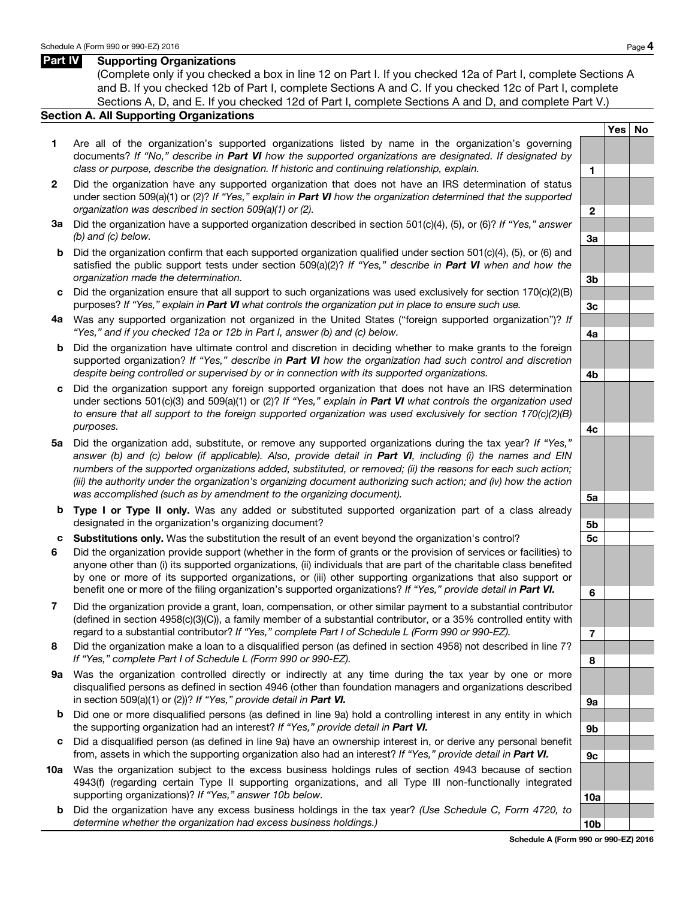#### **Part IV Supporting Organizations**

(Complete only if you checked a box in line 12 on Part I. If you checked 12a of Part I, complete Sections A and B. If you checked 12b of Part I, complete Sections A and C. If you checked 12c of Part I, complete Sections A. D. and E. If you checked 12d of Part I. complete Sections A and D. and complete Part V.)

## **Section A. All Supporting Organizations**

- 1 Are all of the organization's supported organizations listed by name in the organization's governing documents? If "No," describe in Part VI how the supported organizations are designated. If designated by class or purpose, describe the designation. If historic and continuing relationship, explain.
- Did the organization have any supported organization that does not have an IRS determination of status  $\mathbf{2}$ under section 509(a)(1) or (2)? If "Yes," explain in **Part VI** how the organization determined that the supported organization was described in section 509(a)(1) or (2).
- 3a Did the organization have a supported organization described in section 501(c)(4), (5), or (6)? If "Yes," answer (b) and (c) below.
- **b** Did the organization confirm that each supported organization qualified under section  $501(c)(4)$ , (5), or (6) and satisfied the public support tests under section 509(a)(2)? If "Yes," describe in Part VI when and how the organization made the determination.
- c Did the organization ensure that all support to such organizations was used exclusively for section  $170(c)(2)(B)$ purposes? If "Yes," explain in Part VI what controls the organization put in place to ensure such use.
- 4a Was any supported organization not organized in the United States ("foreign supported organization")? If "Yes," and if you checked 12a or 12b in Part I, answer (b) and (c) below.
- **b** Did the organization have ultimate control and discretion in deciding whether to make grants to the foreign supported organization? If "Yes," describe in Part VI how the organization had such control and discretion despite being controlled or supervised by or in connection with its supported organizations.
- c Did the organization support any foreign supported organization that does not have an IRS determination under sections 501(c)(3) and 509(a)(1) or (2)? If "Yes," explain in **Part VI** what controls the organization used to ensure that all support to the foreign supported organization was used exclusively for section 170(c)(2)(B) purposes.
- 5a Did the organization add, substitute, or remove any supported organizations during the tax year? If "Yes," answer (b) and (c) below (if applicable). Also, provide detail in Part VI, including (i) the names and EIN numbers of the supported organizations added, substituted, or removed; (ii) the reasons for each such action; (iii) the authority under the organization's organizing document authorizing such action; and (iv) how the action was accomplished (such as by amendment to the organizing document).
- **b** Type I or Type II only. Was any added or substituted supported organization part of a class already designated in the organization's organizing document?
- c Substitutions only. Was the substitution the result of an event beyond the organization's control?
- 6 Did the organization provide support (whether in the form of grants or the provision of services or facilities) to anyone other than (i) its supported organizations, (ii) individuals that are part of the charitable class benefited by one or more of its supported organizations, or (iii) other supporting organizations that also support or benefit one or more of the filing organization's supported organizations? If "Yes," provide detail in Part VI.
- $\overline{7}$ Did the organization provide a grant, loan, compensation, or other similar payment to a substantial contributor (defined in section 4958(c)(3)(C)), a family member of a substantial contributor, or a 35% controlled entity with regard to a substantial contributor? If "Yes," complete Part I of Schedule L (Form 990 or 990-EZ).
- Did the organization make a loan to a disqualified person (as defined in section 4958) not described in line 7? 8 If "Yes," complete Part I of Schedule L (Form 990 or 990-EZ).
- 9a Was the organization controlled directly or indirectly at any time during the tax year by one or more disqualified persons as defined in section 4946 (other than foundation managers and organizations described in section 509(a)(1) or (2))? If "Yes," provide detail in Part VI.
- **b** Did one or more disqualified persons (as defined in line 9a) hold a controlling interest in any entity in which the supporting organization had an interest? If "Yes," provide detail in Part VI.
- c Did a disqualified person (as defined in line 9a) have an ownership interest in, or derive any personal benefit from, assets in which the supporting organization also had an interest? If "Yes," provide detail in Part VI.
- 10a Was the organization subject to the excess business holdings rules of section 4943 because of section 4943(f) (regarding certain Type II supporting organizations, and all Type III non-functionally integrated supporting organizations)? If "Yes," answer 10b below.
	- **b** Did the organization have any excess business holdings in the tax year? (Use Schedule C, Form 4720, to determine whether the organization had excess business holdings.)

Yes | No

1

 $\mathbf{2}$ 

 $3a$ 

 $3<sub>b</sub>$ 

 $3<sub>c</sub>$ 

4a

4b

4c

 $5a$ 

5b  $5<sub>c</sub>$ 

 $6\phantom{a}$ 

 $\overline{7}$ 

8

 $9a$ 

 $9<sub>b</sub>$ 

 $9<sub>c</sub>$ 

 $10a$ 

 $10<sub>b</sub>$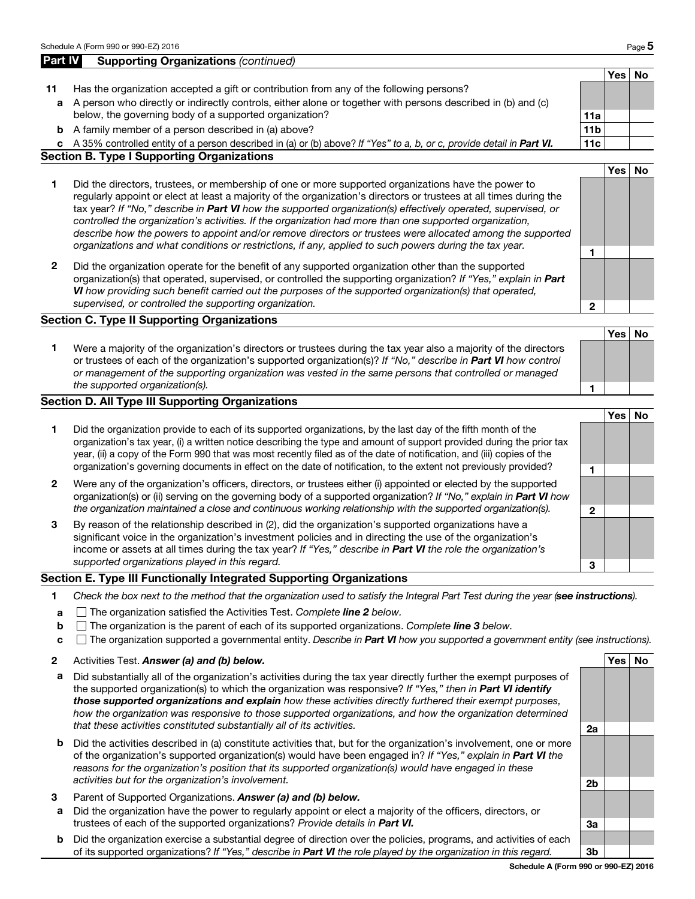|                | Schedule A (Form 990 or 990-EZ) 2016                                                                                                                                                                                                                                                                                                                                                                                                                                                                                                                                                                                                                                         |                 |          | Page 5 |
|----------------|------------------------------------------------------------------------------------------------------------------------------------------------------------------------------------------------------------------------------------------------------------------------------------------------------------------------------------------------------------------------------------------------------------------------------------------------------------------------------------------------------------------------------------------------------------------------------------------------------------------------------------------------------------------------------|-----------------|----------|--------|
| <b>Part IV</b> | <b>Supporting Organizations (continued)</b>                                                                                                                                                                                                                                                                                                                                                                                                                                                                                                                                                                                                                                  |                 |          |        |
|                |                                                                                                                                                                                                                                                                                                                                                                                                                                                                                                                                                                                                                                                                              |                 | Yes   No |        |
| 11             | Has the organization accepted a gift or contribution from any of the following persons?                                                                                                                                                                                                                                                                                                                                                                                                                                                                                                                                                                                      |                 |          |        |
| a              | A person who directly or indirectly controls, either alone or together with persons described in (b) and (c)<br>below, the governing body of a supported organization?                                                                                                                                                                                                                                                                                                                                                                                                                                                                                                       | 11a             |          |        |
| b              | A family member of a person described in (a) above?                                                                                                                                                                                                                                                                                                                                                                                                                                                                                                                                                                                                                          | 11 <sub>b</sub> |          |        |
| c              | A 35% controlled entity of a person described in (a) or (b) above? If "Yes" to a, b, or c, provide detail in Part VI.                                                                                                                                                                                                                                                                                                                                                                                                                                                                                                                                                        | 11c             |          |        |
|                | <b>Section B. Type I Supporting Organizations</b>                                                                                                                                                                                                                                                                                                                                                                                                                                                                                                                                                                                                                            |                 |          |        |
|                |                                                                                                                                                                                                                                                                                                                                                                                                                                                                                                                                                                                                                                                                              |                 | Yes   No |        |
|                | Did the directors, trustees, or membership of one or more supported organizations have the power to<br>regularly appoint or elect at least a majority of the organization's directors or trustees at all times during the<br>tax year? If "No," describe in Part VI how the supported organization(s) effectively operated, supervised, or<br>controlled the organization's activities. If the organization had more than one supported organization,<br>describe how the powers to appoint and/or remove directors or trustees were allocated among the supported<br>organizations and what conditions or restrictions, if any, applied to such powers during the tax year. |                 |          |        |
|                | Did the organization operate for the benefit of any supported organization other than the supported                                                                                                                                                                                                                                                                                                                                                                                                                                                                                                                                                                          |                 |          |        |

| Did the organization operate for the benefit of any supported organization other than the supported             |
|-----------------------------------------------------------------------------------------------------------------|
| organization(s) that operated, supervised, or controlled the supporting organization? If "Yes," explain in Part |
| <b>VI</b> how providing such benefit carried out the purposes of the supported organization(s) that operated,   |
| supervised, or controlled the supporting organization.                                                          |

## Section C. Type II Supporting Organizations

1 Were a majority of the organization's directors or trustees during the tax year also a majority of the directors or trustees of each of the organization's supported organization(s)? If "No," describe in Part VI how control or management of the supporting organization was vested in the same persons that controlled or managed the supported organization(s).

# **Section D. All Type III Supporting Organizations**

|                |                                                                                                                                                                                                                                                                                                                                                                                                                                                                                       | res i | <b>NO</b> |
|----------------|---------------------------------------------------------------------------------------------------------------------------------------------------------------------------------------------------------------------------------------------------------------------------------------------------------------------------------------------------------------------------------------------------------------------------------------------------------------------------------------|-------|-----------|
|                | Did the organization provide to each of its supported organizations, by the last day of the fifth month of the<br>organization's tax year, (i) a written notice describing the type and amount of support provided during the prior tax<br>year, (ii) a copy of the Form 990 that was most recently filed as of the date of notification, and (iii) copies of the<br>organization's governing documents in effect on the date of notification, to the extent not previously provided? |       |           |
| $\overline{2}$ | Were any of the organization's officers, directors, or trustees either (i) appointed or elected by the supported<br>organization(s) or (ii) serving on the governing body of a supported organization? If "No," explain in Part VI how<br>the organization maintained a close and continuous working relationship with the supported organization(s).                                                                                                                                 |       |           |
| 3              | By reason of the relationship described in (2), did the organization's supported organizations have a<br>significant voice in the organization's investment policies and in directing the use of the organization's<br>income or assets at all times during the tax year? If "Yes," describe in Part VI the role the organization's                                                                                                                                                   |       |           |

supported organizations played in this regard.

### Section E. Type III Functionally Integrated Supporting Organizations

- Check the box next to the method that the organization used to satisfy the Integral Part Test during the year (see instructions). 1.
- The organization satisfied the Activities Test. Complete line 2 below.  $\mathbf{a}$
- $\Box$  The organization is the parent of each of its supported organizations. Complete line 3 below. b
- **c**  $\Box$  The organization supported a governmental entity. Describe in **Part VI** how you supported a government entity (see instructions).
- $\mathbf{2}$ Activities Test. Answer (a) and (b) below.
- a Did substantially all of the organization's activities during the tax year directly further the exempt purposes of the supported organization(s) to which the organization was responsive? If "Yes," then in Part VI identify those supported organizations and explain how these activities directly furthered their exempt purposes. how the organization was responsive to those supported organizations, and how the organization determined that these activities constituted substantially all of its activities.
- **b** Did the activities described in (a) constitute activities that, but for the organization's involvement, one or more of the organization's supported organization(s) would have been engaged in? If "Yes," explain in Part VI the reasons for the organization's position that its supported organization(s) would have engaged in these activities but for the organization's involvement.
- $\mathbf{a}$ Parent of Supported Organizations. Answer (a) and (b) below.
- a Did the organization have the power to regularly appoint or elect a majority of the officers, directors, or trustees of each of the supported organizations? Provide details in Part VI.
- Did the organization exercise a substantial degree of direction over the policies, programs, and activities of each  $\mathbf b$ of its supported organizations? If "Yes," describe in Part VI the role played by the organization in this regard.

 $\overline{2}$ 

1

3

 $2a$ 

 $2<sub>b</sub>$ 

 $3a$ 

 $3<sub>b</sub>$ 

 $Yes \mid No$ 

⊢.

Yes No

 $\overline{1}$  . .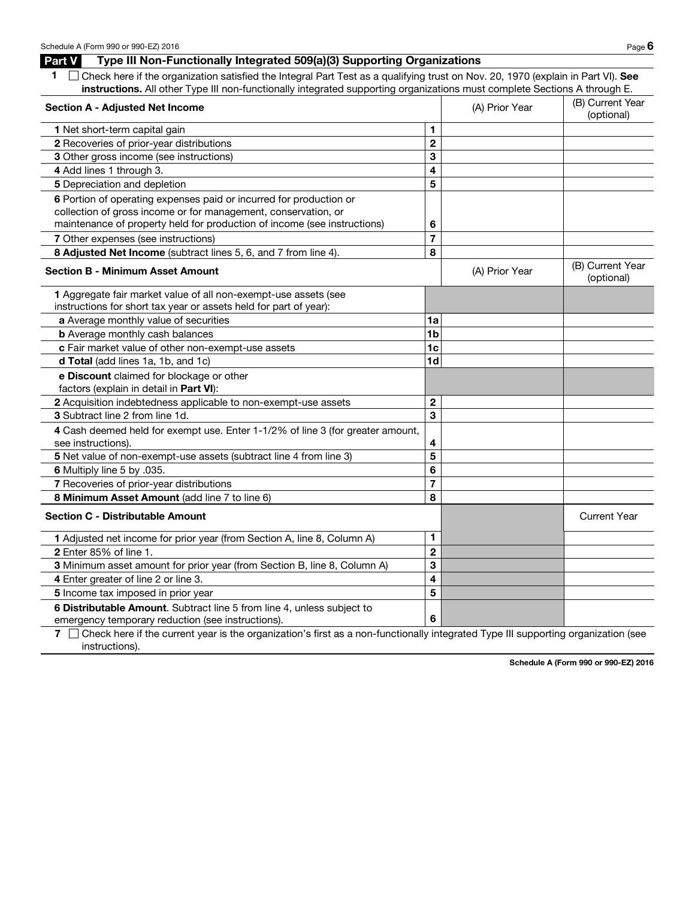#### Type III Non-Functionally Integrated 509(a)(3) Supporting Organizations Part V

Page 6

| 1 Check here if the organization satisfied the Integral Part Test as a qualifying trust on Nov. 20, 1970 (explain in Part VI). See |
|------------------------------------------------------------------------------------------------------------------------------------|
| instructions. All other Type III non-functionally integrated supporting organizations must complete Sections A through E.          |
|                                                                                                                                    |

| a availution in out of type in hold fanouonally integrated supporting organizations must complete occupits in unough E<br><b>Section A - Adjusted Net Income</b>                                                 |                         | (A) Prior Year | (B) Current Year<br>(optional) |
|------------------------------------------------------------------------------------------------------------------------------------------------------------------------------------------------------------------|-------------------------|----------------|--------------------------------|
| 1 Net short-term capital gain                                                                                                                                                                                    | 1                       |                |                                |
| 2 Recoveries of prior-year distributions                                                                                                                                                                         | $\overline{\mathbf{2}}$ |                |                                |
| 3 Other gross income (see instructions)                                                                                                                                                                          | 3                       |                |                                |
| 4 Add lines 1 through 3.                                                                                                                                                                                         | 4                       |                |                                |
| 5 Depreciation and depletion                                                                                                                                                                                     | 5                       |                |                                |
| 6 Portion of operating expenses paid or incurred for production or<br>collection of gross income or for management, conservation, or<br>maintenance of property held for production of income (see instructions) | 6                       |                |                                |
| 7 Other expenses (see instructions)                                                                                                                                                                              | $\overline{\mathbf{r}}$ |                |                                |
| 8 Adjusted Net Income (subtract lines 5, 6, and 7 from line 4).                                                                                                                                                  | 8                       |                |                                |
| <b>Section B - Minimum Asset Amount</b>                                                                                                                                                                          |                         | (A) Prior Year | (B) Current Year<br>(optional) |
| 1 Aggregate fair market value of all non-exempt-use assets (see<br>instructions for short tax year or assets held for part of year):                                                                             |                         |                |                                |
| a Average monthly value of securities                                                                                                                                                                            | 1a                      |                |                                |
| <b>b</b> Average monthly cash balances                                                                                                                                                                           | 1 <sub>b</sub>          |                |                                |
| c Fair market value of other non-exempt-use assets                                                                                                                                                               | 1 <sub>c</sub>          |                |                                |
| d Total (add lines 1a, 1b, and 1c)                                                                                                                                                                               | 1 <sub>d</sub>          |                |                                |
| e Discount claimed for blockage or other<br>factors (explain in detail in Part VI):                                                                                                                              |                         |                |                                |
| 2 Acquisition indebtedness applicable to non-exempt-use assets                                                                                                                                                   | $\mathbf{2}$            |                |                                |
| 3 Subtract line 2 from line 1d.                                                                                                                                                                                  | $\mathbf 3$             |                |                                |
| 4 Cash deemed held for exempt use. Enter 1-1/2% of line 3 (for greater amount,<br>see instructions).                                                                                                             | 4                       |                |                                |
| 5 Net value of non-exempt-use assets (subtract line 4 from line 3)                                                                                                                                               | 5                       |                |                                |
| 6 Multiply line 5 by .035.                                                                                                                                                                                       | 6                       |                |                                |
| 7 Recoveries of prior-year distributions                                                                                                                                                                         | $\overline{7}$          |                |                                |
| 8 Minimum Asset Amount (add line 7 to line 6)                                                                                                                                                                    | 8                       |                |                                |
| <b>Section C - Distributable Amount</b>                                                                                                                                                                          |                         |                | <b>Current Year</b>            |
| 1 Adjusted net income for prior year (from Section A, line 8, Column A)                                                                                                                                          | 1                       |                |                                |
| 2 Enter 85% of line 1.                                                                                                                                                                                           | $\overline{\mathbf{c}}$ |                |                                |
| 3 Minimum asset amount for prior year (from Section B, line 8, Column A)                                                                                                                                         | 3                       |                |                                |
| 4 Enter greater of line 2 or line 3.                                                                                                                                                                             | 4                       |                |                                |
| 5 Income tax imposed in prior year                                                                                                                                                                               | 5                       |                |                                |
| 6 Distributable Amount. Subtract line 5 from line 4, unless subject to<br>emergency temporary reduction (see instructions).                                                                                      | $\bf 6$                 |                |                                |

7 Check here if the current year is the organization's first as a non-functionally integrated Type III supporting organization (see instructions).

Schedule A (Form 990 or 990-EZ) 2016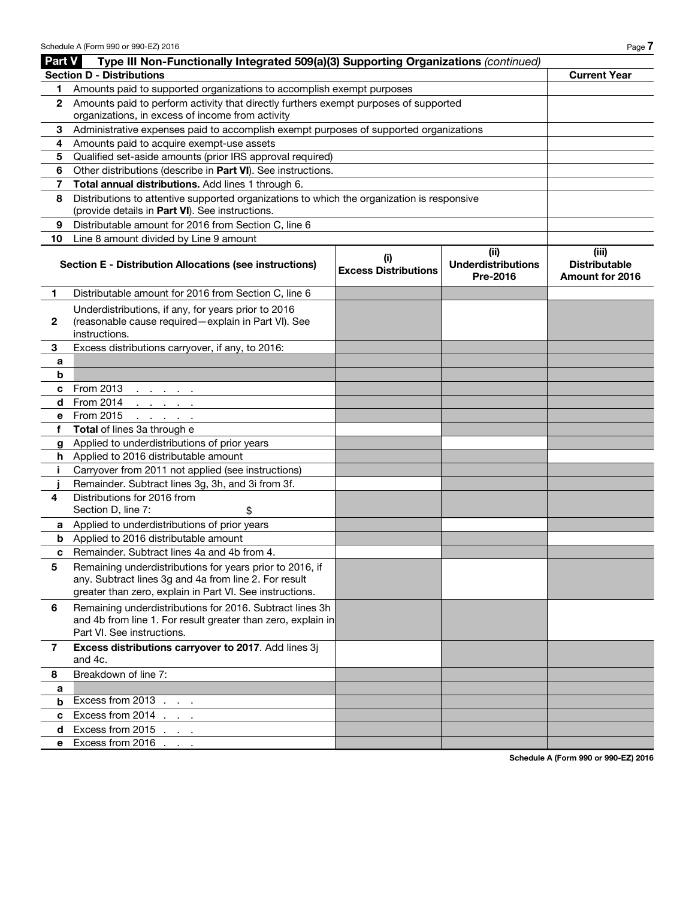| Part V       | Type III Non-Functionally Integrated 509(a)(3) Supporting Organizations (continued)                                                                                           |                                    |                                               |                                                         |
|--------------|-------------------------------------------------------------------------------------------------------------------------------------------------------------------------------|------------------------------------|-----------------------------------------------|---------------------------------------------------------|
|              | <b>Section D - Distributions</b>                                                                                                                                              |                                    |                                               | <b>Current Year</b>                                     |
| 1            | Amounts paid to supported organizations to accomplish exempt purposes                                                                                                         |                                    |                                               |                                                         |
| 2            | Amounts paid to perform activity that directly furthers exempt purposes of supported                                                                                          |                                    |                                               |                                                         |
|              | organizations, in excess of income from activity                                                                                                                              |                                    |                                               |                                                         |
| 3            | Administrative expenses paid to accomplish exempt purposes of supported organizations                                                                                         |                                    |                                               |                                                         |
| 4            | Amounts paid to acquire exempt-use assets                                                                                                                                     |                                    |                                               |                                                         |
| 5            | Qualified set-aside amounts (prior IRS approval required)                                                                                                                     |                                    |                                               |                                                         |
| 6            | Other distributions (describe in Part VI). See instructions.                                                                                                                  |                                    |                                               |                                                         |
| 7            | Total annual distributions. Add lines 1 through 6.                                                                                                                            |                                    |                                               |                                                         |
| 8            | Distributions to attentive supported organizations to which the organization is responsive                                                                                    |                                    |                                               |                                                         |
|              | (provide details in Part VI). See instructions.                                                                                                                               |                                    |                                               |                                                         |
| 9            | Distributable amount for 2016 from Section C, line 6                                                                                                                          |                                    |                                               |                                                         |
| 10           | Line 8 amount divided by Line 9 amount                                                                                                                                        |                                    |                                               |                                                         |
|              | <b>Section E - Distribution Allocations (see instructions)</b>                                                                                                                | (i)<br><b>Excess Distributions</b> | (ii)<br><b>Underdistributions</b><br>Pre-2016 | (iii)<br><b>Distributable</b><br><b>Amount for 2016</b> |
| 1            | Distributable amount for 2016 from Section C, line 6                                                                                                                          |                                    |                                               |                                                         |
| 2            | Underdistributions, if any, for years prior to 2016<br>(reasonable cause required - explain in Part VI). See<br>instructions.                                                 |                                    |                                               |                                                         |
| 3            | Excess distributions carryover, if any, to 2016:                                                                                                                              |                                    |                                               |                                                         |
| a            |                                                                                                                                                                               |                                    |                                               |                                                         |
| $\mathbf b$  |                                                                                                                                                                               |                                    |                                               |                                                         |
| C            | From 2013<br>the contract of the                                                                                                                                              |                                    |                                               |                                                         |
| d            | From 2014<br>and a strong state                                                                                                                                               |                                    |                                               |                                                         |
| е            | From 2015<br>$\mathbf{r}$ , $\mathbf{r}$ , $\mathbf{r}$ , $\mathbf{r}$                                                                                                        |                                    |                                               |                                                         |
| f            | Total of lines 3a through e                                                                                                                                                   |                                    |                                               |                                                         |
| g            | Applied to underdistributions of prior years                                                                                                                                  |                                    |                                               |                                                         |
| h.           | Applied to 2016 distributable amount                                                                                                                                          |                                    |                                               |                                                         |
| İ.           | Carryover from 2011 not applied (see instructions)                                                                                                                            |                                    |                                               |                                                         |
|              | Remainder. Subtract lines 3g, 3h, and 3i from 3f.                                                                                                                             |                                    |                                               |                                                         |
| 4            | Distributions for 2016 from<br>Section D, line 7:<br>\$                                                                                                                       |                                    |                                               |                                                         |
| a            | Applied to underdistributions of prior years                                                                                                                                  |                                    |                                               |                                                         |
| b            | Applied to 2016 distributable amount                                                                                                                                          |                                    |                                               |                                                         |
| C            | Remainder. Subtract lines 4a and 4b from 4.                                                                                                                                   |                                    |                                               |                                                         |
| 5            | Remaining underdistributions for years prior to 2016, if<br>any. Subtract lines 3g and 4a from line 2. For result<br>greater than zero, explain in Part VI. See instructions. |                                    |                                               |                                                         |
| 6            | Remaining underdistributions for 2016. Subtract lines 3h<br>and 4b from line 1. For result greater than zero, explain in<br>Part VI. See instructions.                        |                                    |                                               |                                                         |
| $\mathbf{7}$ | Excess distributions carryover to 2017. Add lines 3j<br>and 4c.                                                                                                               |                                    |                                               |                                                         |
| 8            | Breakdown of line 7:                                                                                                                                                          |                                    |                                               |                                                         |
| a            |                                                                                                                                                                               |                                    |                                               |                                                         |
| b            | Excess from 2013                                                                                                                                                              |                                    |                                               |                                                         |
| C            | Excess from 2014                                                                                                                                                              |                                    |                                               |                                                         |
| d            | Excess from 2015                                                                                                                                                              |                                    |                                               |                                                         |
| е            | Excess from 2016                                                                                                                                                              |                                    |                                               |                                                         |
|              |                                                                                                                                                                               |                                    |                                               |                                                         |

Schedule A (Form 990 or 990-EZ) 2016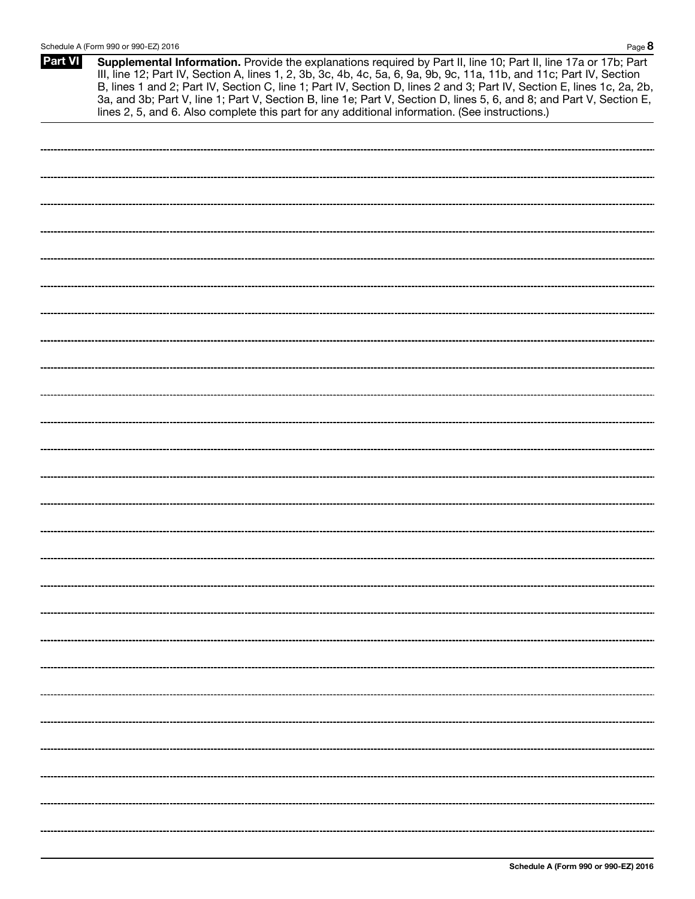**Part VI** Supplemental Information. Provide the explanations required by Part II, line 10; Part II, line 17a or 17b; Part III, line 12; Part IV, Section A, lines 1, 2, 3b, 3c, 4b, 4c, 5a, 6, 9a, 9b, 9c, 11a, 11b, and 11c; Part IV, Section B, lines 1 and 2; Part IV, Section C, line 1; Part IV, Section D, lines 2 and 3; Part IV, Section E, lines 1c, 2a, 2b, 3a, and 3b; Part V, line 1; Part V, Section B, line 1e; Part V, Section D, lines 5, 6, and 8; and Part V, Section E, lines 2, 5, and 6. Also complete this part for any additional information. (See instructions.)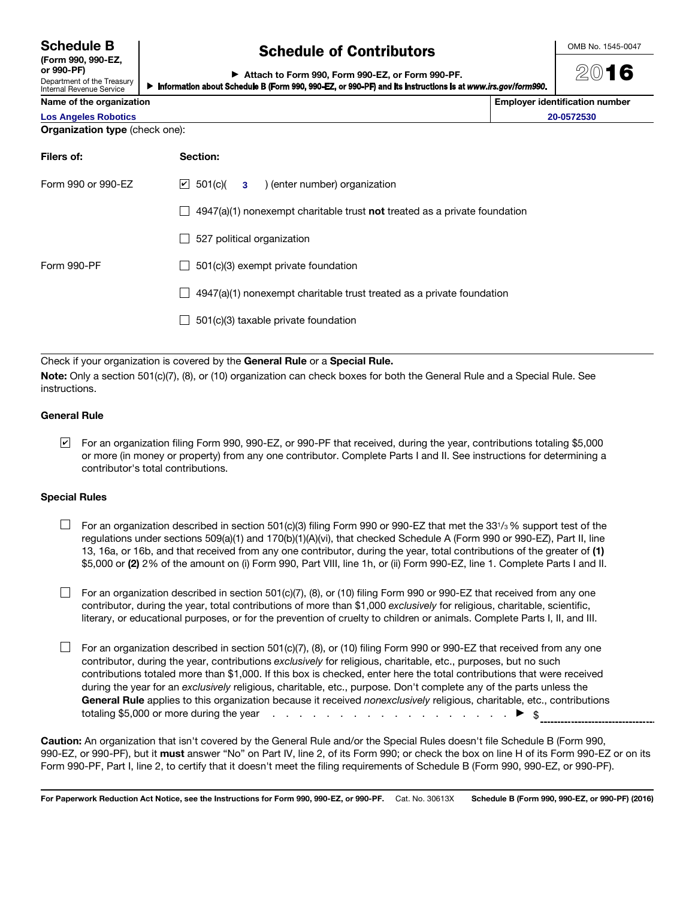Schedule B

(Form 990, 990-EZ. or 990-PF) Department of the Treasury Internal Revenue Service

# **Schedule of Contributors**

OMB No. 1545-0047

|                                                                                                            |  | ► Attach to Form 990, Form 990-EZ, or Form 990-PF. |  |
|------------------------------------------------------------------------------------------------------------|--|----------------------------------------------------|--|
| Information about Schedule B (Form 990, 990-EZ, or 990-PF) and its instructions is at www.irs.gov/form990. |  |                                                    |  |

 $2016$ 

| Name of the organization              | <b>Employer identification number</b> |
|---------------------------------------|---------------------------------------|
| <b>Los Angeles Robotics</b>           | 20-0572530                            |
| <b>Organization type (check one):</b> |                                       |

| Filers of:         | Section:                                                                           |
|--------------------|------------------------------------------------------------------------------------|
| Form 990 or 990-EZ | $\vert \angle$ 501(c)( 3 ) (enter number) organization                             |
|                    | $4947(a)(1)$ nonexempt charitable trust <b>not</b> treated as a private foundation |
|                    | 527 political organization                                                         |
| Form 990-PF        | 501(c)(3) exempt private foundation                                                |
|                    | $4947(a)(1)$ nonexempt charitable trust treated as a private foundation            |
|                    | 501(c)(3) taxable private foundation                                               |
|                    |                                                                                    |

Check if your organization is covered by the General Rule or a Special Rule.

Note: Only a section 501(c)(7), (8), or (10) organization can check boxes for both the General Rule and a Special Rule. See instructions.

## General Rule

 $\unlhd$  For an organization filing Form 990, 990-EZ, or 990-PF that received, during the year, contributions totaling \$5,000 or more (in money or property) from any one contributor. Complete Parts I and II. See instructions for determining a contributor's total contributions.

## **Special Rules**

- For an organization described in section 501(c)(3) filing Form 990 or 990-EZ that met the 331/3 % support test of the regulations under sections 509(a)(1) and 170(b)(1)(A)(vi), that checked Schedule A (Form 990 or 990-EZ), Part II, line 13, 16a, or 16b, and that received from any one contributor, during the year, total contributions of the greater of (1) \$5,000 or (2) 2% of the amount on (i) Form 990, Part VIII, line 1h, or (ii) Form 990-EZ, line 1. Complete Parts I and II.
- $\Box$  For an organization described in section 501(c)(7), (8), or (10) filing Form 990 or 990-EZ that received from any one contributor, during the year, total contributions of more than \$1,000 exclusively for religious, charitable, scientific, literary, or educational purposes, or for the prevention of cruelty to children or animals. Complete Parts I, II, and III.
- $\Box$  For an organization described in section 501(c)(7), (8), or (10) filing Form 990 or 990-EZ that received from any one contributor, during the year, contributions exclusively for religious, charitable, etc., purposes, but no such contributions totaled more than \$1,000. If this box is checked, enter here the total contributions that were received during the year for an exclusively religious, charitable, etc., purpose. Don't complete any of the parts unless the General Rule applies to this organization because it received nonexclusively religious, charitable, etc., contributions botaling \$5,000 or more during the year  $\therefore$   $\therefore$   $\therefore$   $\therefore$   $\therefore$   $\therefore$   $\therefore$   $\therefore$   $\therefore$   $\therefore$   $\therefore$   $\therefore$   $\therefore$   $\therefore$   $\therefore$   $\therefore$   $\therefore$   $\therefore$   $\therefore$   $\therefore$   $\therefore$   $\therefore$   $\therefore$   $\therefore$   $\therefore$   $\therefore$   $\therefore$   $\therefore$   $\therefore$   $\therefore$

Caution: An organization that isn't covered by the General Rule and/or the Special Rules doesn't file Schedule B (Form 990, 990-EZ, or 990-PF), but it must answer "No" on Part IV, line 2, of its Form 990; or check the box on line H of its Form 990-EZ or on its Form 990-PF, Part I, line 2, to certify that it doesn't meet the filing requirements of Schedule B (Form 990, 990-EZ, or 990-PF).

For Paperwork Reduction Act Notice, see the Instructions for Form 990, 990-EZ, or 990-PF. Cat. No. 30613X Schedule B (Form 990, 990-EZ, or 990-PF) (2016)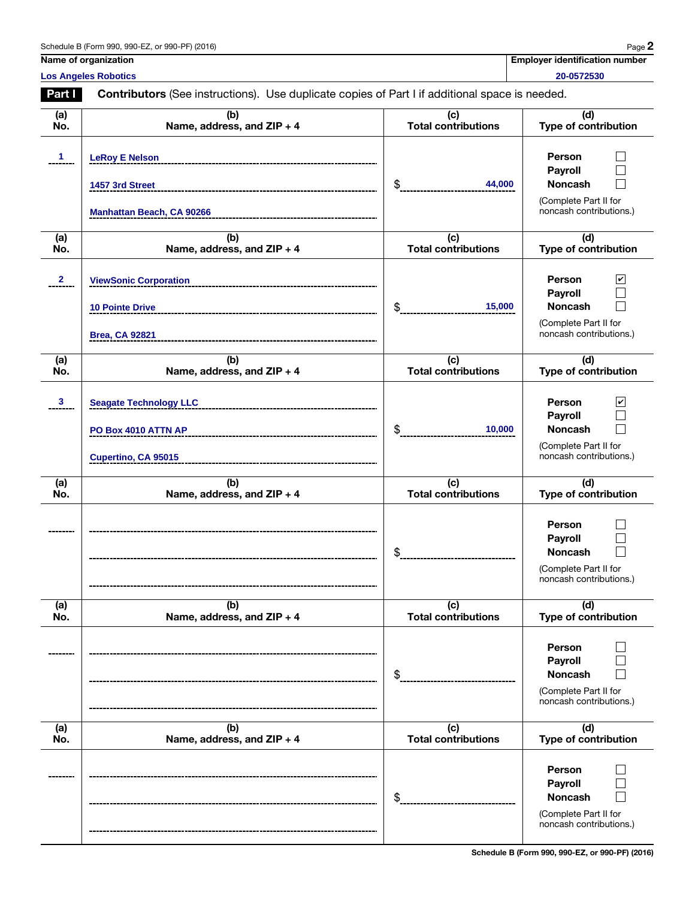Page 2

number

 $\overline{a}$ 

No.

 $(b)$ 

Name, address, and ZIP + 4

|              | Schedule B (Form 990, 990-EZ, or 990-PF) (2016)                                                |                                   | Pag                                                                              |
|--------------|------------------------------------------------------------------------------------------------|-----------------------------------|----------------------------------------------------------------------------------|
|              | Name of organization                                                                           |                                   | <b>Employer identification number</b>                                            |
|              | <b>Los Angeles Robotics</b>                                                                    |                                   | 20-0572530                                                                       |
| Part I       | Contributors (See instructions). Use duplicate copies of Part I if additional space is needed. |                                   |                                                                                  |
| (a)<br>No.   | (b)<br>Name, address, and ZIP + 4                                                              | (c)<br><b>Total contributions</b> | (d)<br><b>Type of contribution</b>                                               |
| $\mathbf{1}$ | <b>LeRoy E Nelson</b>                                                                          |                                   | Person<br>Payroll                                                                |
|              | 1457 3rd Street                                                                                | \$<br>44,000                      | <b>Noncash</b>                                                                   |
|              | <b>Manhattan Beach, CA 90266</b>                                                               |                                   | (Complete Part II for<br>noncash contributions.)                                 |
| (a)<br>No.   | (b)<br>Name, address, and ZIP + 4                                                              | (c)<br><b>Total contributions</b> | (d)<br>Type of contribution                                                      |
| $\mathbf{2}$ | <b>ViewSonic Corporation</b>                                                                   |                                   | $\boxed{\checkmark}$<br>Person<br>Payroll                                        |
|              | <b>10 Pointe Drive</b>                                                                         | \$<br>15,000                      | Noncash                                                                          |
|              | <b>Brea, CA 92821</b>                                                                          |                                   | (Complete Part II for<br>noncash contributions.)                                 |
| (a)<br>No.   | (b)<br>Name, address, and ZIP + 4                                                              | (c)<br><b>Total contributions</b> | (d)<br>Type of contribution                                                      |
| 3            | <b>Seagate Technology LLC</b>                                                                  |                                   | Person<br>$ \boldsymbol{v} $<br>Payroll                                          |
|              | PO Box 4010 ATTN AP                                                                            | \$<br>10,000                      | <b>Noncash</b>                                                                   |
|              | Cupertino, CA 95015                                                                            |                                   | (Complete Part II for<br>noncash contributions.)                                 |
| (a)<br>No.   | (b)<br>Name, address, and ZIP + 4                                                              | (c)<br><b>Total contributions</b> | (d)<br>Type of contribution                                                      |
|              |                                                                                                | \$                                | Person<br>Payroll<br>Noncash<br>(Complete Part II for<br>noncash contributions.) |
| (a)<br>No.   | (b)<br>Name, address, and ZIP + 4                                                              | (c)<br><b>Total contributions</b> | (d)<br>Type of contribution                                                      |
|              |                                                                                                | \$                                | Person<br>Payroll<br>Noncash<br>(Complete Part II for<br>noncash contributions.) |
|              |                                                                                                |                                   |                                                                                  |

Person Payroll

Noncash (Complete Part II for noncash contributions.)

 $\overline{c}$ **Total contributions** 

 $\Phi$ 

(d)<br>Type of contribution

 $\begin{array}{c} \square \\ \square \end{array}$ 

 $\overline{\Box}$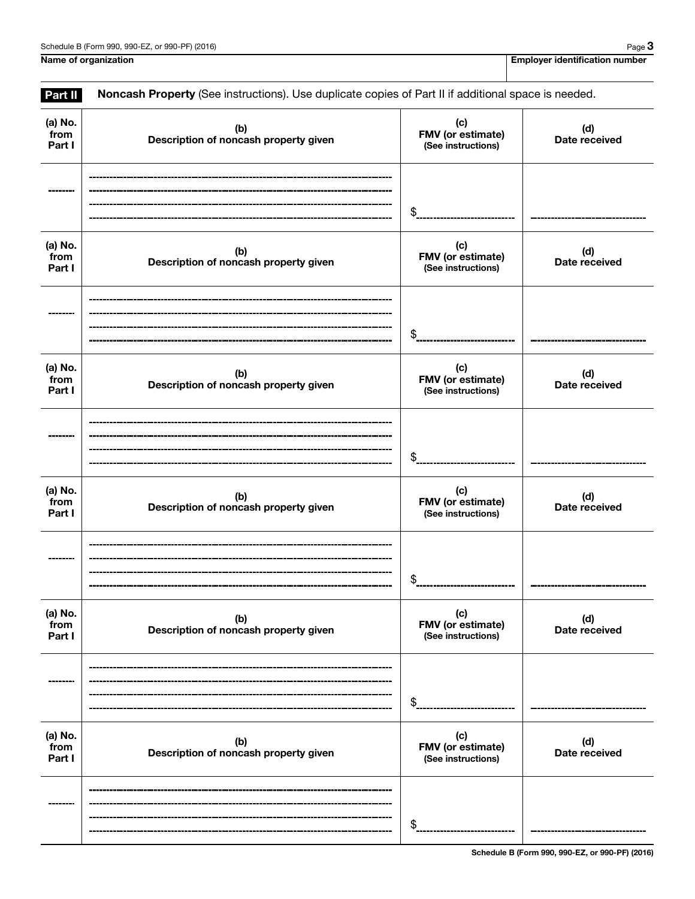### Name of organization

**Employer identification number** 

Part II Noncash Property (See instructions). Use duplicate copies of Part II if additional space is needed.

| (a) No.<br>from<br>Part I | (b)<br>Description of noncash property given | (c)<br>FMV (or estimate)<br>(See instructions) | (d)<br>Date received |
|---------------------------|----------------------------------------------|------------------------------------------------|----------------------|
|                           |                                              | \$                                             |                      |
| (a) No.<br>from<br>Part I | (b)<br>Description of noncash property given | (c)<br>FMV (or estimate)<br>(See instructions) | (d)<br>Date received |
|                           |                                              | \$                                             |                      |
| (a) No.<br>from<br>Part I | (b)<br>Description of noncash property given | (c)<br>FMV (or estimate)<br>(See instructions) | (d)<br>Date received |
|                           |                                              | \$                                             |                      |
| (a) No.<br>from<br>Part I | (b)<br>Description of noncash property given | (c)<br>FMV (or estimate)<br>(See instructions) | (d)<br>Date received |
|                           |                                              | \$                                             |                      |
| (a) No.<br>from<br>Part I | (b)<br>Description of noncash property given | (c)<br>FMV (or estimate)<br>(See instructions) | (d)<br>Date received |
|                           |                                              | \$                                             |                      |
| (a) No.<br>from<br>Part I | (b)<br>Description of noncash property given | (c)<br>FMV (or estimate)<br>(See instructions) | (d)<br>Date received |
|                           |                                              | \$.                                            |                      |

Schedule B (Form 990, 990-EZ, or 990-PF) (2016)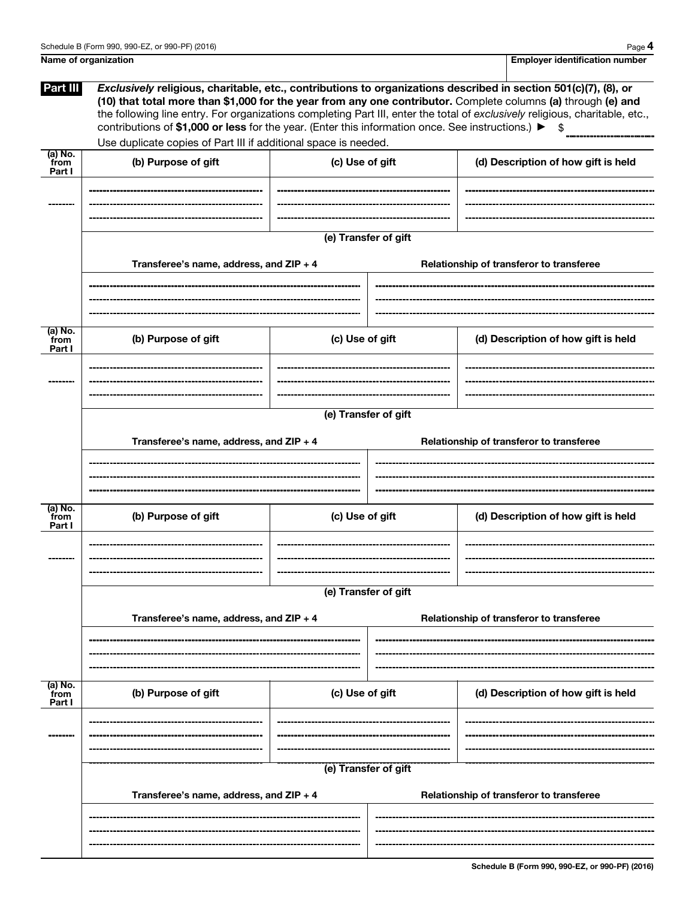Name of organization

**Employer identification number** 

| <b>Part III</b>           | Use duplicate copies of Part III if additional space is needed. | Exclusively religious, charitable, etc., contributions to organizations described in section 501(c)(7), (8), or<br>(10) that total more than \$1,000 for the year from any one contributor. Complete columns (a) through (e) and<br>the following line entry. For organizations completing Part III, enter the total of exclusively religious, charitable, etc.,<br>contributions of \$1,000 or less for the year. (Enter this information once. See instructions.) ▶<br>- \$ |                                          |                                          |  |  |
|---------------------------|-----------------------------------------------------------------|-------------------------------------------------------------------------------------------------------------------------------------------------------------------------------------------------------------------------------------------------------------------------------------------------------------------------------------------------------------------------------------------------------------------------------------------------------------------------------|------------------------------------------|------------------------------------------|--|--|
| (a) No.<br>from           | (b) Purpose of gift                                             | (c) Use of gift                                                                                                                                                                                                                                                                                                                                                                                                                                                               |                                          | (d) Description of how gift is held      |  |  |
| Part I                    |                                                                 |                                                                                                                                                                                                                                                                                                                                                                                                                                                                               |                                          |                                          |  |  |
|                           |                                                                 |                                                                                                                                                                                                                                                                                                                                                                                                                                                                               |                                          |                                          |  |  |
|                           |                                                                 |                                                                                                                                                                                                                                                                                                                                                                                                                                                                               |                                          |                                          |  |  |
|                           | (e) Transfer of gift                                            |                                                                                                                                                                                                                                                                                                                                                                                                                                                                               |                                          |                                          |  |  |
|                           | Transferee's name, address, and ZIP + 4                         |                                                                                                                                                                                                                                                                                                                                                                                                                                                                               |                                          | Relationship of transferor to transferee |  |  |
|                           |                                                                 |                                                                                                                                                                                                                                                                                                                                                                                                                                                                               |                                          |                                          |  |  |
| (a) No.<br>from<br>Part I | (b) Purpose of gift                                             | (c) Use of gift                                                                                                                                                                                                                                                                                                                                                                                                                                                               |                                          | (d) Description of how gift is held      |  |  |
|                           |                                                                 |                                                                                                                                                                                                                                                                                                                                                                                                                                                                               |                                          |                                          |  |  |
|                           |                                                                 |                                                                                                                                                                                                                                                                                                                                                                                                                                                                               | (e) Transfer of gift                     |                                          |  |  |
|                           | Transferee's name, address, and ZIP + 4                         |                                                                                                                                                                                                                                                                                                                                                                                                                                                                               | Relationship of transferor to transferee |                                          |  |  |
|                           |                                                                 |                                                                                                                                                                                                                                                                                                                                                                                                                                                                               |                                          |                                          |  |  |
| (a) No.<br>from<br>Part I | (b) Purpose of gift                                             | (c) Use of gift                                                                                                                                                                                                                                                                                                                                                                                                                                                               |                                          | (d) Description of how gift is held      |  |  |
|                           | (e) Transfer of gift                                            |                                                                                                                                                                                                                                                                                                                                                                                                                                                                               |                                          |                                          |  |  |
|                           | Transferee's name, address, and ZIP + 4                         |                                                                                                                                                                                                                                                                                                                                                                                                                                                                               |                                          | Relationship of transferor to transferee |  |  |
|                           |                                                                 |                                                                                                                                                                                                                                                                                                                                                                                                                                                                               |                                          |                                          |  |  |
| (a) No.<br>from<br>Part I | (b) Purpose of gift                                             | (c) Use of gift                                                                                                                                                                                                                                                                                                                                                                                                                                                               |                                          | (d) Description of how gift is held      |  |  |
|                           |                                                                 |                                                                                                                                                                                                                                                                                                                                                                                                                                                                               |                                          |                                          |  |  |
|                           |                                                                 |                                                                                                                                                                                                                                                                                                                                                                                                                                                                               |                                          |                                          |  |  |
|                           | (e) Transfer of gift                                            |                                                                                                                                                                                                                                                                                                                                                                                                                                                                               |                                          |                                          |  |  |
|                           | Transferee's name, address, and ZIP + 4                         |                                                                                                                                                                                                                                                                                                                                                                                                                                                                               |                                          | Relationship of transferor to transferee |  |  |
|                           |                                                                 |                                                                                                                                                                                                                                                                                                                                                                                                                                                                               |                                          |                                          |  |  |
|                           |                                                                 |                                                                                                                                                                                                                                                                                                                                                                                                                                                                               |                                          |                                          |  |  |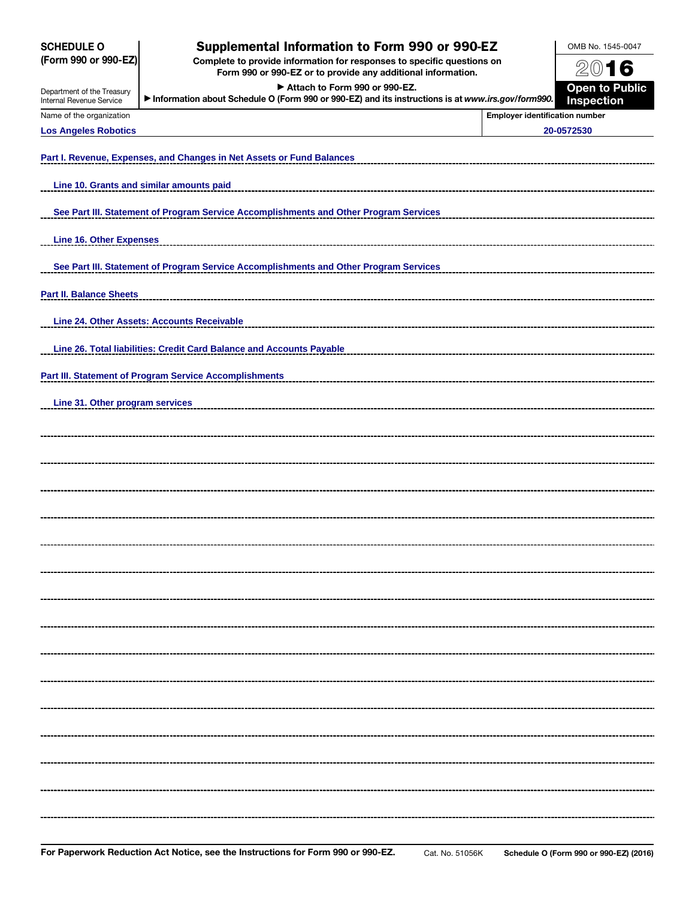| <b>SCHEDULE O</b><br>(Form 990 or 990-EZ)                                             | <b>Supplemental Information to Form 990 or 990-EZ</b><br>Complete to provide information for responses to specific questions on<br>Form 990 or 990-EZ or to provide any additional information. |                                       | OMB No. 1545-0047<br>2016           |
|---------------------------------------------------------------------------------------|-------------------------------------------------------------------------------------------------------------------------------------------------------------------------------------------------|---------------------------------------|-------------------------------------|
| Department of the Treasury<br>Internal Revenue Service                                | Attach to Form 990 or 990-EZ.<br>Information about Schedule O (Form 990 or 990-EZ) and its instructions is at www.irs.gov/form990.                                                              |                                       | <b>Open to Public</b><br>Inspection |
| Name of the organization                                                              |                                                                                                                                                                                                 | <b>Employer identification number</b> |                                     |
| <b>Los Angeles Robotics</b>                                                           |                                                                                                                                                                                                 |                                       | 20-0572530                          |
|                                                                                       | Part I. Revenue, Expenses, and Changes in Net Assets or Fund Balances                                                                                                                           |                                       |                                     |
|                                                                                       | Line 10. Grants and similar amounts paid                                                                                                                                                        |                                       |                                     |
| See Part III. Statement of Program Service Accomplishments and Other Program Services |                                                                                                                                                                                                 |                                       |                                     |
| <b>Line 16. Other Expenses</b>                                                        |                                                                                                                                                                                                 |                                       |                                     |
|                                                                                       | See Part III. Statement of Program Service Accomplishments and Other Program Services                                                                                                           |                                       |                                     |
| <b>Part II. Balance Sheets</b>                                                        |                                                                                                                                                                                                 |                                       |                                     |
|                                                                                       | Line 24. Other Assets: Accounts Receivable                                                                                                                                                      |                                       |                                     |
|                                                                                       | Line 26. Total liabilities: Credit Card Balance and Accounts Payable                                                                                                                            |                                       |                                     |
|                                                                                       | <b>Part III. Statement of Program Service Accomplishments</b>                                                                                                                                   |                                       |                                     |
| Line 31. Other program services                                                       |                                                                                                                                                                                                 |                                       |                                     |
|                                                                                       |                                                                                                                                                                                                 |                                       |                                     |
|                                                                                       |                                                                                                                                                                                                 |                                       |                                     |
|                                                                                       |                                                                                                                                                                                                 |                                       |                                     |
|                                                                                       |                                                                                                                                                                                                 |                                       |                                     |
|                                                                                       |                                                                                                                                                                                                 |                                       |                                     |
|                                                                                       |                                                                                                                                                                                                 |                                       |                                     |
|                                                                                       |                                                                                                                                                                                                 |                                       |                                     |
|                                                                                       |                                                                                                                                                                                                 |                                       |                                     |
|                                                                                       |                                                                                                                                                                                                 |                                       |                                     |
|                                                                                       |                                                                                                                                                                                                 |                                       |                                     |
|                                                                                       |                                                                                                                                                                                                 |                                       |                                     |
|                                                                                       |                                                                                                                                                                                                 |                                       |                                     |
|                                                                                       |                                                                                                                                                                                                 |                                       |                                     |
|                                                                                       |                                                                                                                                                                                                 |                                       |                                     |
|                                                                                       |                                                                                                                                                                                                 |                                       |                                     |
|                                                                                       |                                                                                                                                                                                                 |                                       |                                     |